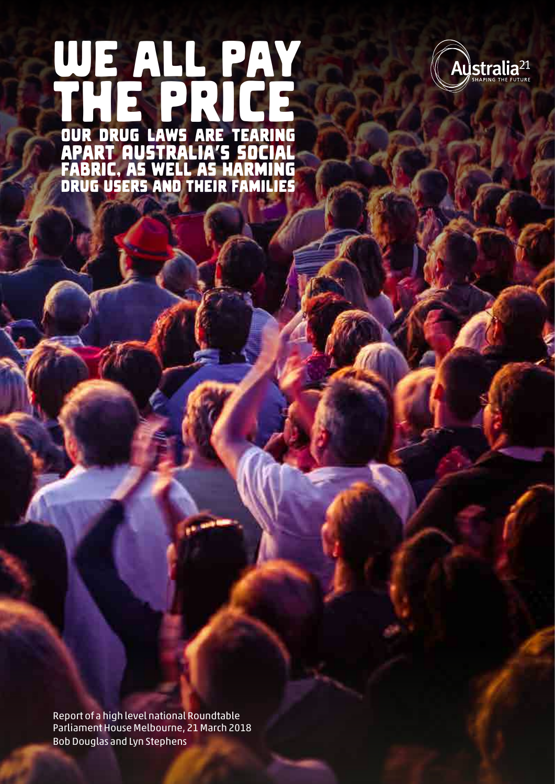## Our drug laws are tearing apart Australia's social fabric, as well as harming drug users and their families WE ALL PAY the price



Report of a high level national Roundtable Parliament House Melbourne, 21 March 2018 Bob Douglas and Lyn Stephens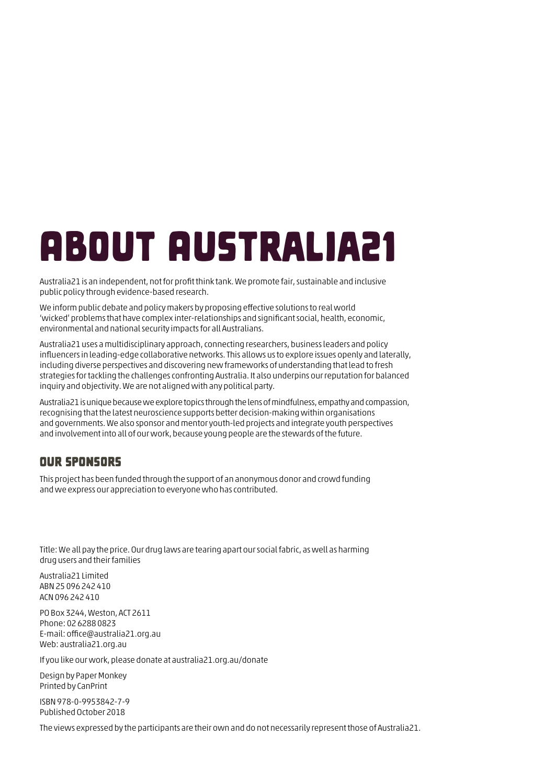## <span id="page-1-0"></span>About Australia21

Australia21 is an independent, not for profit think tank. We promote fair, sustainable and inclusive public policy through evidence-based research.

We inform public debate and policy makers by proposing effective solutions to real world 'wicked' problems that have complex inter-relationships and significant social, health, economic, environmental and national security impacts for all Australians.

Australia21 uses a multidisciplinary approach, connecting researchers, business leaders and policy influencers in leading-edge collaborative networks. This allows us to explore issues openly and laterally, including diverse perspectives and discovering new frameworks of understanding that lead to fresh strategies for tackling the challenges confronting Australia. It also underpins our reputation for balanced inquiry and objectivity. We are not aligned with any political party.

Australia21 is unique because we explore topics through the lens of mindfulness, empathy and compassion, recognising that the latest neuroscience supports better decision-making within organisations and governments. We also sponsor and mentor youth-led projects and integrate youth perspectives and involvement into all of our work, because young people are the stewards of the future.

## Our sponsors

This project has been funded through the support of an anonymous donor and crowd funding and we express our appreciation to everyone who has contributed.

Title: We all pay the price. Our drug laws are tearing apart our social fabric, as well as harming drug users and their families

Australia21 Limited ABN 25 096 242 410 ACN 096 242 410

PO Box 3244, Weston, ACT 2611 Phone: 02 6288 0823 E-mail: [office@australia21.org.au](mailto:office@australia21.org.au) Web: [australia21.org.au](http://australia21.org.au)

If you like our work, please donate at [australia21.org.au/donate](http://australia21.org.au/donate)

Design by Paper Monkey Printed by CanPrint

ISBN 978-0-9953842-7-9 Published October 2018

The views expressed by the participants are their own and do not necessarily represent those of Australia21.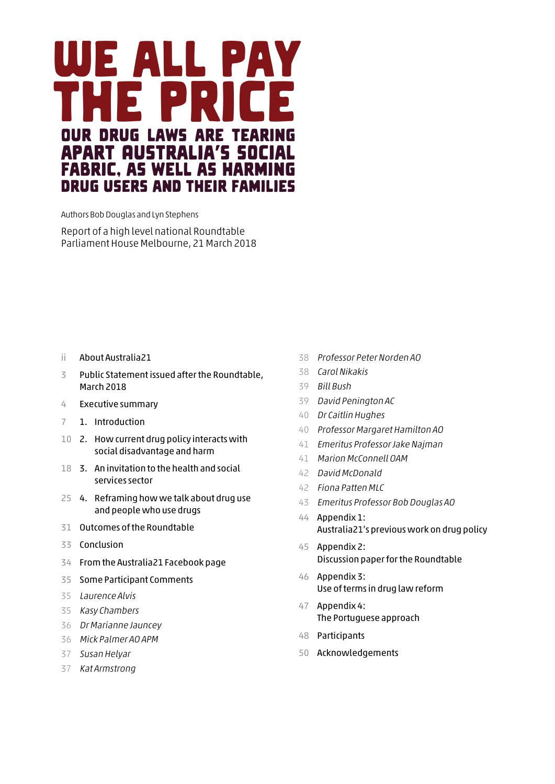

Authors Bob Douglas and Lyn Stephens

Report of a high level national Roundtable Parliament House Melbourne, 21 March 2018

- ii [About Australia21](#page-1-0)
- [Public Statement issued after the Roundtable,](#page-4-0)  [March 2018](#page-4-0)
- [Executive summary](#page-5-0)
- 1. [Introduction](#page-8-0)
- [2. How current drug policy interacts with](#page-11-0)  [social disadvantage and harm](#page-11-0)
- [3. An invitation to the health and social](#page-19-0)  [services sector](#page-19-0)
- [4. Reframing how we talk about drug use](#page-26-0)  [and people who use drugs](#page-26-0)
- [Outcomes of the Roundtable](#page-32-0)
- [Conclusion](#page-34-0)
- [From the Australia21 Facebook page](#page-35-0)
- [Some Participant Comments](#page-36-0)
- [Laurence Alvis](#page-36-0)
- [Kasy Chambers](#page-36-0)
- [Dr Marianne Jauncey](#page-37-0)
- [Mick Palmer AO APM](#page-37-0)
- [Susan Helyar](#page-38-0)
- [Kat Armstrong](#page-38-0)
- [Professor Peter Norden AO](#page-39-0)
- [Carol Nikakis](#page-39-0)
- [Bill Bush](#page-40-0)
- [David Penington AC](#page-40-0)
- [Dr Caitlin Hughes](#page-41-0)
- [Professor Margaret Hamilton AO](#page-41-0)
- [Emeritus Professor Jake Najman](#page-42-0)
- [Marion McConnell OAM](#page-42-0)
- [David McDonald](#page-43-0)
- [Fiona Patten MLC](#page-43-0)
- [Emeritus Professor Bob Douglas AO](#page-44-0)
- [Appendix 1:](#page-45-0)  [Australia21's previous work on drug policy](#page-45-0)
- [Appendix 2:](#page-46-0)  [Discussion paper for the Roundtable](#page-46-0)
- [Appendix 3:](#page-47-0)  [Use of terms in drug law reform](#page-47-0)
- [Appendix 4:](#page-48-0)  [The Portuguese approach](#page-48-0)
- [Participants](#page-49-0)
- [Acknowledgements](#page-51-0)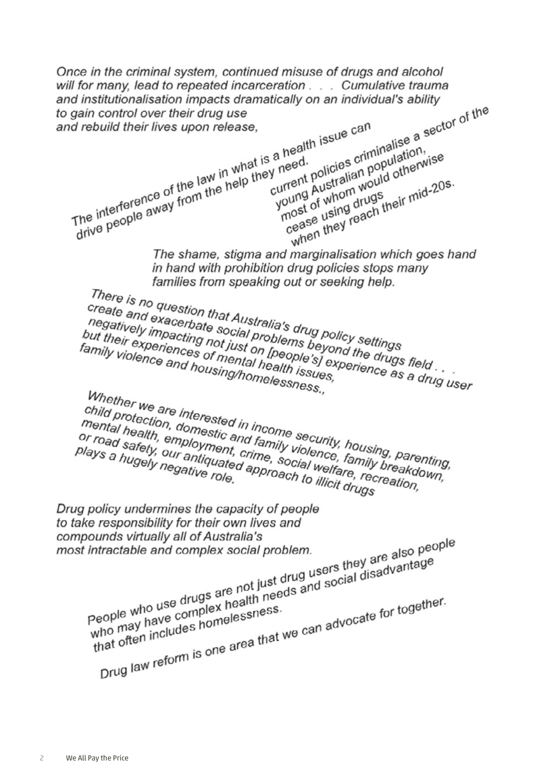Once in the criminal system, continued misuse of drugs and alcohol will for many, lead to repeated incarceration . . . Cumulative trauma and institutionalisation impacts dramatically on an individual's ability atically on an individual's ability<br>s a health issue can<br>s a health issue can<br>s a health issue can<br>s a health issue can<br>s a health issue criminalise a sector of the<br>sy need.<br>policies criminalise a sector of the<br>current pol to gain control over their drug use me interference of the law in what is a health issue can<br>a health issue can<br>a health issue can<br>a health issue can<br>a health issue can<br>current policies crime<br>of the law in what is a health issue<br>of current policies crime<br>of and rebuild their lives upon release. a health issue<br> *y* need.<br> *peed.*<br>
policies criminalise a sense of whom would otherwise young Australian would otherwise a health isotherminalise<br>need.<br>need. policies criminalise<br>urrent policies criminalise<br>urrent pustralian population,<br>young Australian would otherwise<br>most of whom drugs<br>most of whing drugs ineir mid-20s The interference of the law in what is a healur<br>The interference of the law in what is a heed.<br>The interference of the law in what current f<br>whelmost cease rent policialian port other<br>rent Australian would<br>oung of whom would<br>nost of whom drugs<br>cease they reach their mid-20s.<br>cease they reach their mid-<br>marginalisation which goes ha rrent Austram wowed<br>oung of whom drugs<br>nost of using drugs<br>cease they reach the<br>when they reach The shame, stigma and marginalisation which goes hand in hand with prohibition drug policies stops many families from speaking out or seeking help. ramilies from speaking out or seeking help.<br>There is no question that Australia's drug<br>Create and exacerbate social problems believ settings<br>heyatively impacting not just problems beyond the drug<br>imily violenciences of mas There is no question that Australia's drug policy settings<br>"negatively impacting not just on [people's drug policy settings<br>but their experiences of mental problems beyond the drugs field<br>amily violence and housing/homelal Create and exacerbate social problems brug policy settings<br>negatively impacting not just problems beyond the drugs<br>but their experiences of mental health issues,<br>amily violence and housing/homelessness, regatively impacting not just and problems beyonder their experiences of mental health issues, but their experiences not just on [people is bey<br>family violence and housing/homelessness.<br>When when thousing/homelessness.. Whether we are interested in incomessness.,<br>Child protection, domestic and family security, housing, parenting,<br>mental health, employment, crime, security, housing, parenting,<br>or road safety, our antiquated approach is wel whether we are interested in income security, housing, parenting<br>mental health, employment, crime, security, housing, parenting<br>or road safety, employment, crime, social welfare, family breakdown,<br>plays a hugely negative r child protection, domested in income security, housing, parel<br>mental health, employment, crime, security, housing, parel<br>or road safety, our antiquated approach welfare, recreakdo<br>plays a hugely negative role. mental health, domestic and family violence, family<br>or road safety, employment, crime, social welfare, family<br>plays a hugely negative role. approach to illicit drugs plays a hugely negative role.<br>plays a hugely negative role. Drug policy undermines the capacity of people to take responsibility for their own lives and bounds virtually all of Australia's<br>tintractable and complex social problem.<br>The same also people<br>are not just drug users they are also people<br>people who use drugs are not just drug users they are also people<br>people who us compounds virtually all of Australia's most intractable and complex social problem. intractable and complex social problem.<br>
They are also people who use drugs are not just drug users they are also people<br>
people who use drugs are not just drug users and social disadvantage<br>
people who use drugs are not i eople who use drugs are not largeds and seeds and seed and the eople who use complex health needs and seeds and the may have complex health needs.<br>who may have complessness.<br>that often includes homelessness.<br>Drug law refor people who use drugs whealth heder<br>who may have complex health heder<br>that often includes homelessness.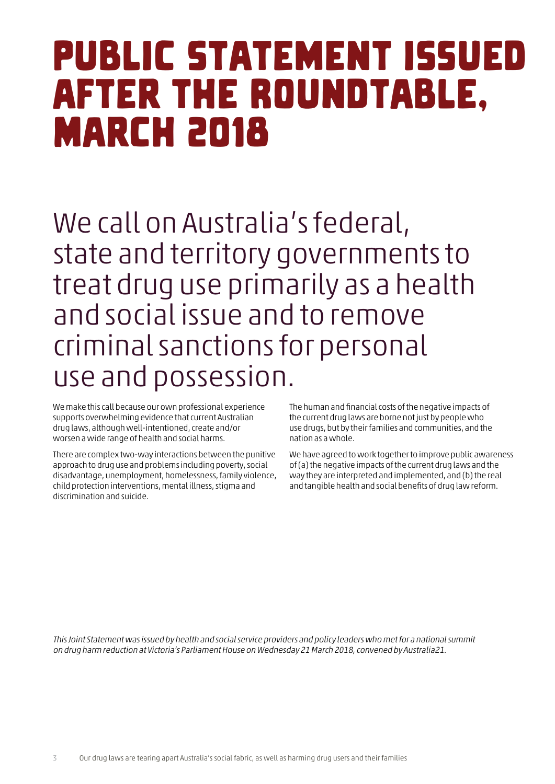## <span id="page-4-0"></span>Public Statement issued after the Roundtable, **MARCH 2018**

We call on Australia's federal, state and territory governments to treat drug use primarily as a health and social issue and to remove criminal sanctions for personal use and possession.

We make this call because our own professional experience supports overwhelming evidence that current Australian drug laws, although well-intentioned, create and/or worsen a wide range of health and social harms.

There are complex two-way interactions between the punitive approach to drug use and problems including poverty, social disadvantage, unemployment, homelessness, family violence, child protection interventions, mental illness, stigma and discrimination and suicide.

The human and financial costs of the negative impacts of the current drug laws are borne not just by people who use drugs, but by their families and communities, and the nation as a whole.

We have agreed to work together to improve public awareness of (a) the negative impacts of the current drug laws and the way they are interpreted and implemented, and (b) the real and tangible health and social benefits of drug law reform.

This Joint Statement was issued by health and social service providers and policy leaders who met for a national summit on drug harm reduction at Victoria's Parliament House on Wednesday 21 March 2018, convened by Australia21.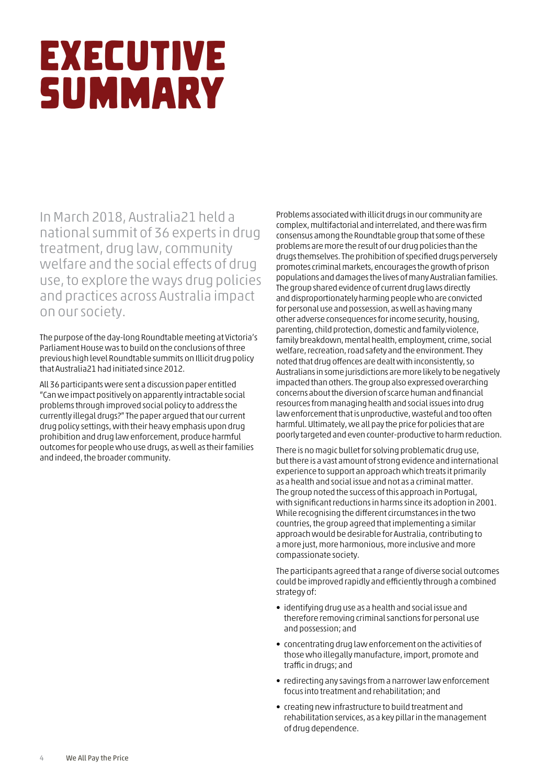# <span id="page-5-0"></span>Executive summary

In March 2018, Australia21 held a national summit of 36 experts in drug treatment, drug law, community welfare and the social effects of drug use, to explore the ways drug policies and practices across Australia impact on our society.

The purpose of the day-long Roundtable meeting at Victoria's Parliament House was to build on the conclusions of three previous high level Roundtable summits on Illicit drug policy that Australia21 had initiated since 2012.

All 36 participants were sent a discussion paper entitled "Can we impact positively on apparently intractable social problems through improved social policy to address the currently illegal drugs?" The paper argued that our current drug policy settings, with their heavy emphasis upon drug prohibition and drug law enforcement, produce harmful outcomes for people who use drugs, as well as their families and indeed, the broader community.

Problems associated with illicit drugs in our community are complex, multifactorial and interrelated, and there was firm consensus among the Roundtable group that some of these problems are more the result of our drug policies than the drugs themselves. The prohibition of specified drugs perversely promotes criminal markets, encourages the growth of prison populations and damages the lives of many Australian families. The group shared evidence of current drug laws directly and disproportionately harming people who are convicted for personal use and possession, as well as having many other adverse consequences for income security, housing, parenting, child protection, domestic and family violence, family breakdown, mental health, employment, crime, social welfare, recreation, road safety and the environment. They noted that drug offences are dealt with inconsistently, so Australians in some jurisdictions are more likely to be negatively impacted than others. The group also expressed overarching concerns about the diversion of scarce human and financial resources from managing health and social issues into drug law enforcement that is unproductive, wasteful and too often harmful. Ultimately, we all pay the price for policies that are poorly targeted and even counter-productive to harm reduction.

There is no magic bullet for solving problematic drug use, but there is a vast amount of strong evidence and international experience to support an approach which treats it primarily as a health and social issue and not as a criminal matter. The group noted the success of this approach in Portugal, with significant reductions in harms since its adoption in 2001. While recognising the different circumstances in the two countries, the group agreed that implementing a similar approach would be desirable for Australia, contributing to a more just, more harmonious, more inclusive and more compassionate society.

The participants agreed that a range of diverse social outcomes could be improved rapidly and efficiently through a combined strategy of:

- identifying drug use as a health and social issue and therefore removing criminal sanctions for personal use and possession; and
- concentrating drug law enforcement on the activities of those who illegally manufacture, import, promote and traffic in drugs; and
- redirecting any savings from a narrower law enforcement focus into treatment and rehabilitation; and
- creating new infrastructure to build treatment and rehabilitation services, as a key pillar in the management of drug dependence.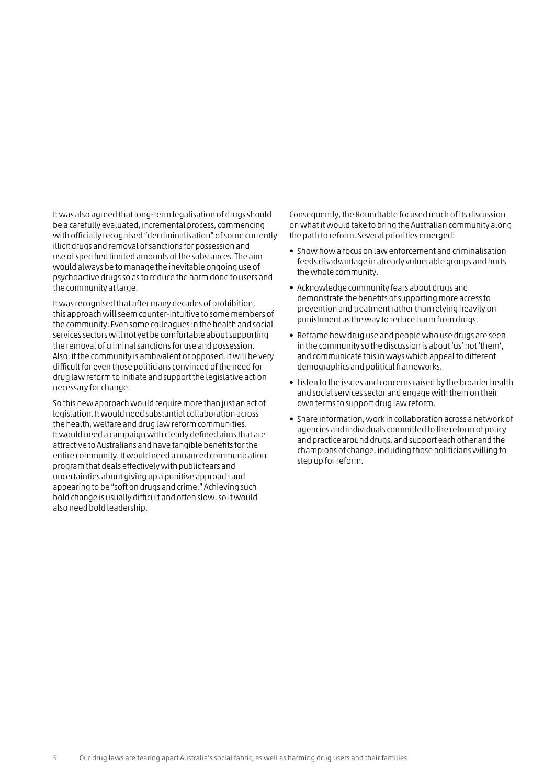It was also agreed that long-term legalisation of drugs should be a carefully evaluated, incremental process, commencing with officially recognised "decriminalisation" of some currently illicit drugs and removal of sanctions for possession and use of specified limited amounts of the substances. The aim would always be to manage the inevitable ongoing use of psychoactive drugs so as to reduce the harm done to users and the community at large.

It was recognised that after many decades of prohibition, this approach will seem counter-intuitive to some members of the community. Even some colleagues in the health and social services sectors will not yet be comfortable about supporting the removal of criminal sanctions for use and possession. Also, if the community is ambivalent or opposed, it will be very difficult for even those politicians convinced of the need for drug law reform to initiate and support the legislative action necessary for change.

So this new approach would require more than just an act of legislation. It would need substantial collaboration across the health, welfare and drug law reform communities. It would need a campaign with clearly defined aims that are attractive to Australians and have tangible benefits for the entire community. It would need a nuanced communication program that deals effectively with public fears and uncertainties about giving up a punitive approach and appearing to be "soft on drugs and crime." Achieving such bold change is usually difficult and often slow, so it would also need bold leadership.

Consequently, the Roundtable focused much of its discussion on what it would take to bring the Australian community along the path to reform. Several priorities emerged:

- Show how a focus on law enforcement and criminalisation feeds disadvantage in already vulnerable groups and hurts the whole community.
- Acknowledge community fears about drugs and demonstrate the benefits of supporting more access to prevention and treatment rather than relying heavily on punishment as the way to reduce harm from drugs.
- Reframe how drug use and people who use drugs are seen in the community so the discussion is about 'us' not 'them', and communicate this in ways which appeal to different demographics and political frameworks.
- Listen to the issues and concerns raised by the broader health and social services sector and engage with them on their own terms to support drug law reform.
- Share information, work in collaboration across a network of agencies and individuals committed to the reform of policy and practice around drugs, and support each other and the champions of change, including those politicians willing to step up for reform.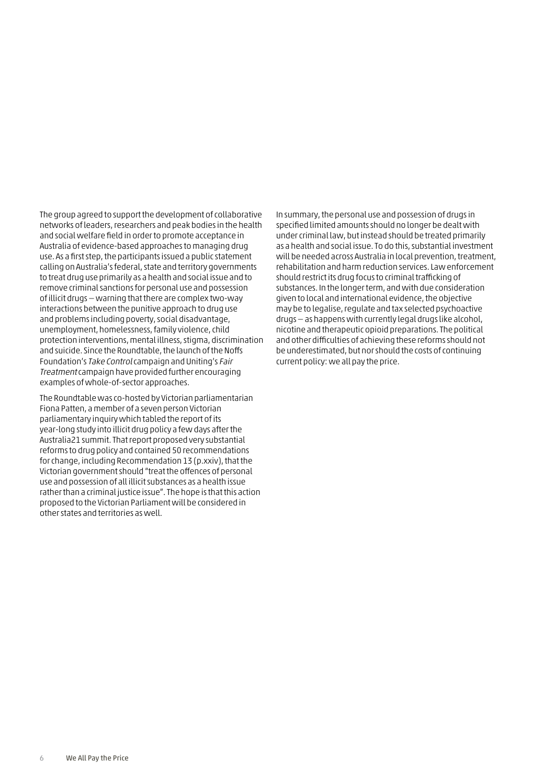The group agreed to support the development of collaborative networks of leaders, researchers and peak bodies in the health and social welfare field in order to promote acceptance in Australia of evidence-based approaches to managing drug use. As a first step, the participants issued a public statement calling on Australia's federal, state and territory governments to treat drug use primarily as a health and social issue and to remove criminal sanctions for personal use and possession of illicit drugs — warning that there are complex two-way interactions between the punitive approach to drug use and problems including poverty, social disadvantage, unemployment, homelessness, family violence, child protection interventions, mental illness, stigma, discrimination and suicide. Since the Roundtable, the launch of the Noffs Foundation's Take Control campaign and Uniting's Fair Treatment campaign have provided further encouraging examples of whole-of-sector approaches.

The Roundtable was co-hosted by Victorian parliamentarian Fiona Patten, a member of a seven person Victorian parliamentary inquiry which tabled the report of its year-long study into illicit drug policy a few days after the Australia21 summit. That report proposed very substantial reforms to drug policy and contained 50 recommendations for change, including Recommendation 13 (p.xxiv), that the Victorian government should "treat the offences of personal use and possession of all illicit substances as a health issue rather than a criminal justice issue". The hope is that this action proposed to the Victorian Parliament will be considered in other states and territories as well.

In summary, the personal use and possession of drugs in specified limited amounts should no longer be dealt with under criminal law, but instead should be treated primarily as a health and social issue. To do this, substantial investment will be needed across Australia in local prevention, treatment, rehabilitation and harm reduction services. Law enforcement should restrict its drug focus to criminal trafficking of substances. In the longer term, and with due consideration given to local and international evidence, the objective may be to legalise, regulate and tax selected psychoactive drugs — as happens with currently legal drugs like alcohol, nicotine and therapeutic opioid preparations. The political and other difficulties of achieving these reforms should not be underestimated, but nor should the costs of continuing current policy: we all pay the price.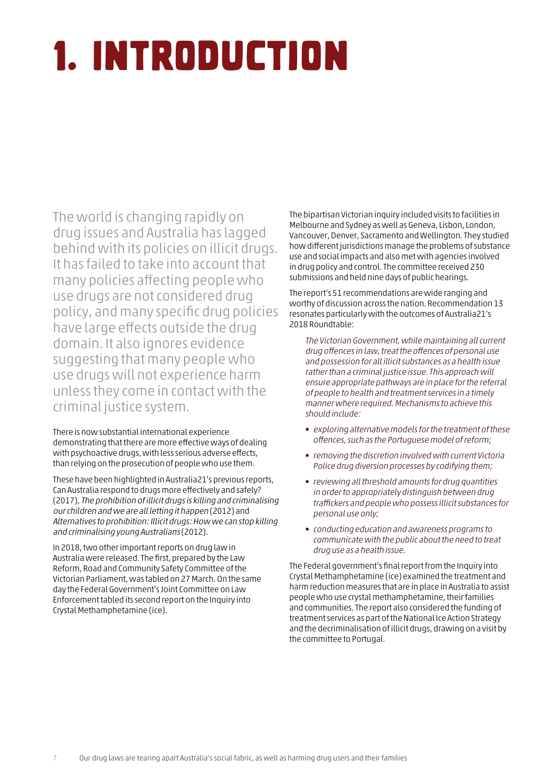# <span id="page-8-0"></span>1. Introduction

The world is changing rapidly on drug issues and Australia has lagged behind with its policies on illicit drugs. It has failed to take into account that many policies affecting people who use drugs are not considered drug policy, and many specific drug policies have large effects outside the drug domain. It also ignores evidence suggesting that many people who use drugs will not experience harm unless they come in contact with the criminal justice system.

There is now substantial international experience demonstrating that there are more effective ways of dealing with psychoactive drugs, with less serious adverse effects, than relying on the prosecution of people who use them.

These have been highlighted in Australia21's previous reports, [Can Australia respond to drugs more effectively and safely?](http://australia21.org.au/product/can-australia-respond-drugs-effectively-safely/#.W7qvZRMzZBx) (2017), [The prohibition of illicit drugs is killing and criminalising](http://australia21.org.au/wp-content/uploads/2013/11/ASIllicitDrugsR1.pdf) [our children and we are all letting it happen](http://australia21.org.au/wp-content/uploads/2013/11/ASIllicitDrugsR1.pdf) (2012) and [Alternatives to prohibition: Illicit drugs: How we can stop killing](http://australia21.org.au/wp-content/uploads/2013/11/ASIllicitDrugsR2.pdf)  [and criminalising young Australians](http://australia21.org.au/wp-content/uploads/2013/11/ASIllicitDrugsR2.pdf) (2012).

In 2018, two other important reports on drug law in Australia were released. The first, prepared by the Law Reform, Road and Community Safety Committee of the Victorian Parliament, was tabled on 27 March. On the same day the Federal Government's Joint Committee on Law Enforcement tabled its second report on the Inquiry into Crystal Methamphetamine (ice).

The bipartisan Victorian inquiry included visits to facilities in Melbourne and Sydney as well as Geneva, Lisbon, London, Vancouver, Denver, Sacramento and Wellington. They studied how different jurisdictions manage the problems of substance use and social impacts and also met with agencies involved in drug policy and control. The committee received 230 submissions and held nine days of public hearings.

The report's 51 recommendations are wide ranging and worthy of discussion across the nation. Recommendation 13 resonates particularly with the outcomes of Australia21's 2018 Roundtable:

The Victorian Government, while maintaining all current drug offences in law, treat the offences of personal use and possession for all illicit substances as a health issue rather than a criminal justice issue. This approach will ensure appropriate pathways are in place for the referral of people to health and treatment services in a timely manner where required. Mechanisms to achieve this should include:

- exploring alternative models for the treatment of these offences, such as the Portuguese model of reform;
- removing the discretion involved with current Victoria Police drug diversion processes by codifying them;
- reviewing all threshold amounts for drug quantities in order to appropriately distinguish between drug traffickers and people who possess illicit substances for personal use only;
- conducting education and awareness programs to communicate with the public about the need to treat drug use as a health issue.

The Federal government's final report from the Inquiry into Crystal Methamphetamine (ice) examined the treatment and harm reduction measures that are in place in Australia to assist people who use crystal methamphetamine, their families and communities. The report also considered the funding of treatment services as part of the National Ice Action Strategy and the decriminalisation of illicit drugs, drawing on a visit by the committee to Portugal.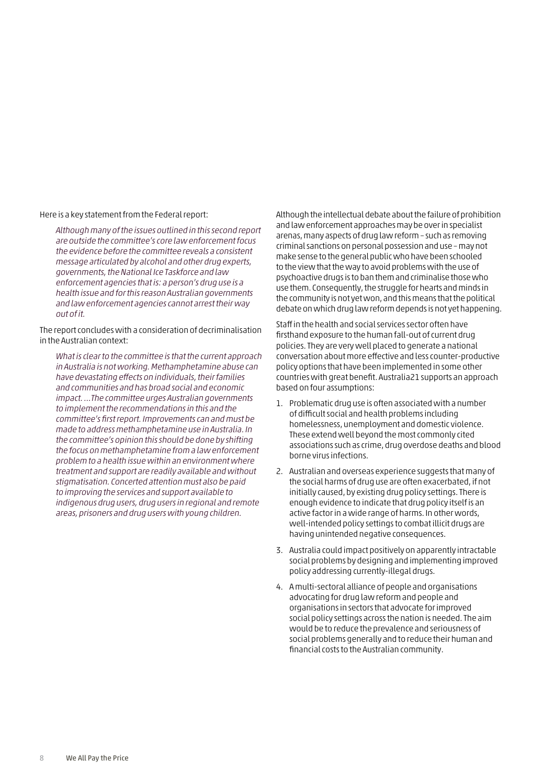Here is a key statement from the Federal report:

Although many of the issues outlined in this second report are outside the committee's core law enforcement focus the evidence before the committee reveals a consistent message articulated by alcohol and other drug experts, governments, the National Ice Taskforce and law enforcement agencies that is: a person's drug use is a health issue and for this reason Australian governments and law enforcement agencies cannot arrest their way out of it.

The report concludes with a consideration of decriminalisation in the Australian context:

What is clear to the committee is that the current approach in Australia is not working. Methamphetamine abuse can have devastating effects on individuals, their families and communities and has broad social and economic impact. …The committee urges Australian governments to implement the recommendations in this and the committee's first report. Improvements can and must be made to address methamphetamine use in Australia. In the committee's opinion this should be done by shifting the focus on methamphetamine from a law enforcement problem to a health issue within an environment where treatment and support are readily available and without stigmatisation. Concerted attention must also be paid to improving the services and support available to indigenous drug users, drug users in regional and remote areas, prisoners and drug users with young children.

Although the intellectual debate about the failure of prohibition and law enforcement approaches may be over in specialist arenas, many aspects of drug law reform – such as removing criminal sanctions on personal possession and use – may not make sense to the general public who have been schooled to the view that the way to avoid problems with the use of psychoactive drugs is to ban them and criminalise those who use them. Consequently, the struggle for hearts and minds in the community is not yet won, and this means that the political debate on which drug law reform depends is not yet happening.

Staff in the health and social services sector often have firsthand exposure to the human fall-out of current drug policies. They are very well placed to generate a national conversation about more effective and less counter-productive policy options that have been implemented in some other countries with great benefit. Australia21 supports an approach based on four assumptions:

- 1. Problematic drug use is often associated with a number of difficult social and health problems including homelessness, unemployment and domestic violence. These extend well beyond the most commonly cited associations such as crime, drug overdose deaths and blood borne virus infections.
- 2. Australian and overseas experience suggests that many of the social harms of drug use are often exacerbated, if not initially caused, by existing drug policy settings. There is enough evidence to indicate that drug policy itself is an active factor in a wide range of harms. In other words, well-intended policy settings to combat illicit drugs are having unintended negative consequences.
- 3. Australia could impact positively on apparently intractable social problems by designing and implementing improved policy addressing currently-illegal drugs.
- 4. A multi-sectoral alliance of people and organisations advocating for drug law reform and people and organisations in sectors that advocate for improved social policy settings across the nation is needed. The aim would be to reduce the prevalence and seriousness of social problems generally and to reduce their human and financial costs to the Australian community.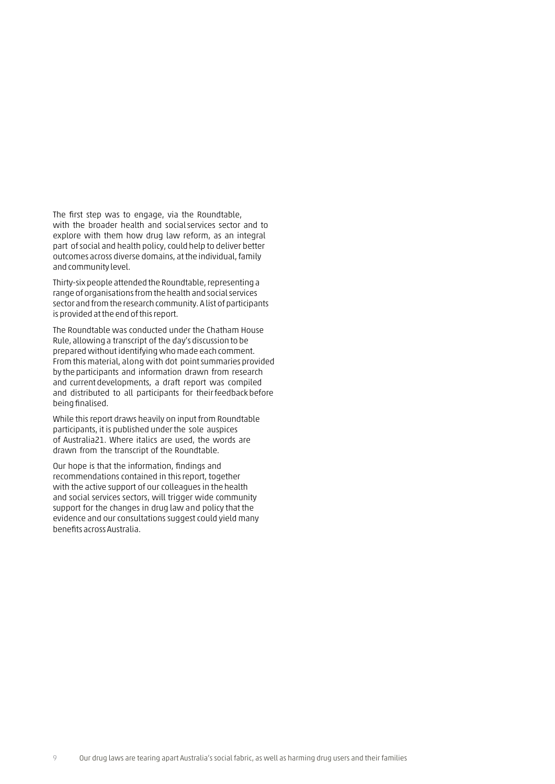The first step was to engage, via the Roundtable, with the broader health and social services sector and to explore with them how drug law reform, as an integral part ofsocial and health policy, could help to deliver better outcomes across diverse domains, at the individual, family and community level.

Thirty-six people attended the Roundtable, representing a range of organisations from the health and social services sector and from the research community. A list of participants is provided at the end of this report.

The Roundtable was conducted under the Chatham House Rule, allowing a transcript of the day's discussion to be prepared without identifying who made each comment. From this material, along with dot point summaries provided by the participants and information drawn from research and currentdevelopments, a draft report was compiled and distributed to all participants for their feedback before being finalised.

While this report draws heavily on input from Roundtable participants, it is published under the sole auspices of Australia21. Where italics are used, the words are drawn from the transcript of the Roundtable.

Our hope is that the information, findings and recommendations contained in this report, together with the active support of our colleagues in the health and social services sectors, will trigger wide community support for the changes in drug law and policy that the evidence and our consultations suggest could yield many benefits across Australia.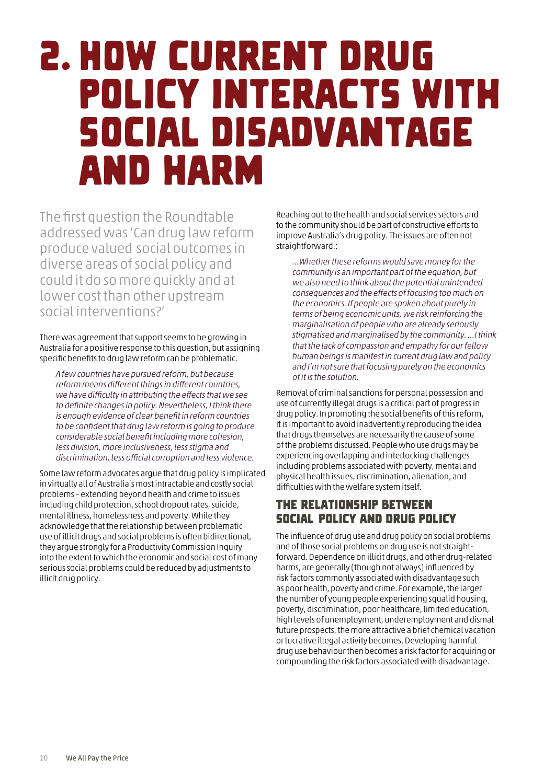## <span id="page-11-0"></span>2. How current drug policy interacts with social disadvantage and harm

The first question the Roundtable addressed was 'Can drug law reform produce valued social outcomes in diverse areas of social policy and could it do so more quickly and at lower cost than other upstream social interventions?'

There was agreement that support seems to be growing in Australia for a positive response to this question, but assigning specific benefits to drug law reform can be problematic.

A few countries have pursued reform, but because reform means different things in different countries, we have difficulty in attributing the effects that we see to definite changes in policy. Nevertheless, I think there is enough evidence of clear benefit in reform countries to be confident that drug law reform is going to produce considerable social benefit including more cohesion, less division, more inclusiveness, less stigma and discrimination, less official corruption and less violence.

Some law reform advocates argue that drug policy is implicated in virtually all of Australia's most intractable and costly social problems – extending beyond health and crime to issues including child protection, school dropout rates, suicide, mental illness, homelessness and poverty. While they acknowledge that the relationship between problematic use of illicit drugs and social problems is often bidirectional, they argue strongly for a Productivity Commission Inquiry into the extent to which the economic and social cost of many serious social problems could be reduced by adjustments to illicit drug policy.

Reaching out to the health and social services sectors and to the community should be part of constructive efforts to improve Australia's drug policy. The issues are often not straightforward.:

…Whether these reforms would save money for the community is an important part of the equation, but we also need to think about the potential unintended consequences and the effects of focusing too much on the economics. If people are spoken about purely in terms of being economic units, we risk reinforcing the marginalisation of people who are already seriously stigmatised and marginalised by the community. …I think that the lack of compassion and empathy for our fellow human beings is manifest in current drug law and policy and I'm not sure that focusing purely on the economics of it is the solution.

Removal of criminal sanctions for personal possession and use of currently illegal drugs is a critical part of progress in drug policy. In promoting the social benefits of this reform, it is important to avoid inadvertently reproducing the idea that drugs themselves are necessarily the cause of some of the problems discussed. People who use drugs may be experiencing overlapping and interlocking challenges including problems associated with poverty, mental and physical health issues, discrimination, alienation, and difficulties with the welfare system itself.

### The relationship between social policy and drug policy

The influence of drug use and drug policy on social problems and of those social problems on drug use is not straightforward. Dependence on illicit drugs, and other drug-related harms, are generally (though not always) influenced by risk factors commonly associated with disadvantage such as poor health, poverty and crime. For example, the larger the number of young people experiencing squalid housing, poverty, discrimination, poor healthcare, limited education, high levels of unemployment, underemployment and dismal future prospects, the more attractive a brief chemical vacation or lucrative illegal activity becomes. Developing harmful drug use behaviour then becomes a risk factor for acquiring or compounding the risk factors associated with disadvantage.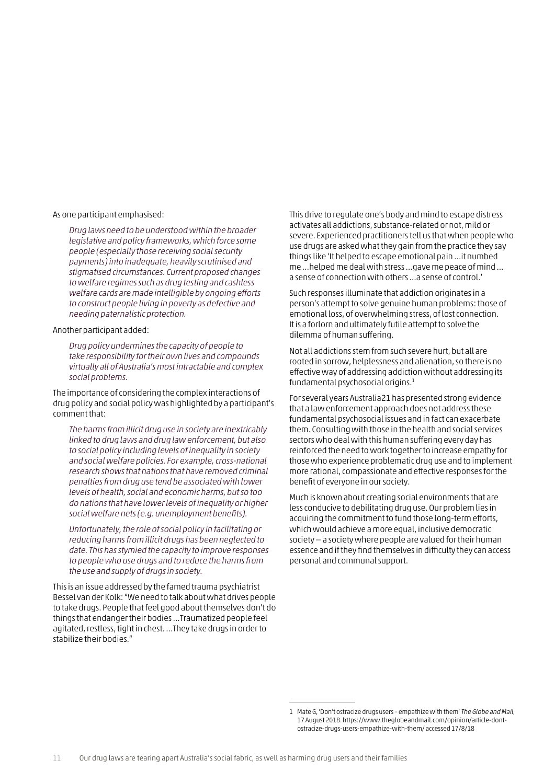As one participant emphasised:

Drug laws need to be understood within the broader legislative and policy frameworks, which force some people (especially those receiving social security payments) into inadequate, heavily scrutinised and stigmatised circumstances. Current proposed changes to welfare regimes such as drug testing and cashless welfare cards are made intelligible by ongoing efforts to construct people living in poverty as defective and needing paternalistic protection.

#### Another participant added:

Drug policy undermines the capacity of people to take responsibility for their own lives and compounds virtually all of Australia's most intractable and complex social problems.

The importance of considering the complex interactions of drug policy and social policy was highlighted by a participant's comment that:

The harms from illicit drug use in society are inextricably linked to drug laws and drug law enforcement, but also to social policy including levels of inequality in society and social welfare policies. For example, cross-national research shows that nations that have removed criminal penalties from drug use tend be associated with lower levels of health, social and economic harms, but so too do nations that have lower levels of inequality or higher social welfare nets (e.g. unemployment benefits).

Unfortunately, the role of social policy in facilitating or reducing harms from illicit drugs has been neglected to date. This has stymied the capacity to improve responses to people who use drugs and to reduce the harms from the use and supply of drugs in society.

This is an issue addressed by the famed trauma psychiatrist Bessel van der Kolk: "We need to talk about what drives people to take drugs. People that feel good about themselves don't do things that endanger their bodies …Traumatized people feel agitated, restless, tight in chest. …They take drugs in order to stabilize their bodies."

This drive to regulate one's body and mind to escape distress activates all addictions, substance-related or not, mild or severe. Experienced practitioners tell us that when people who use drugs are asked what they gain from the practice they say things like 'It helped to escape emotional pain …it numbed me …helped me deal with stress …gave me peace of mind ... a sense of connection with others …a sense of control.'

Such responses illuminate that addiction originates in a person's attempt to solve genuine human problems: those of emotional loss, of overwhelming stress, of lost connection. It is a forlorn and ultimately futile attempt to solve the dilemma of human suffering.

Not all addictions stem from such severe hurt, but all are rooted in sorrow, helplessness and alienation, so there is no effective way of addressing addiction without addressing its fundamental psychosocial origins.1

For several years Australia21 has presented strong evidence that a law enforcement approach does not address these fundamental psychosocial issues and in fact can exacerbate them. Consulting with those in the health and social services sectors who deal with this human suffering every day has reinforced the need to work together to increase empathy for those who experience problematic drug use and to implement more rational, compassionate and effective responses for the benefit of everyone in our society.

Much is known about creating social environments that are less conducive to debilitating drug use. Our problem lies in acquiring the commitment to fund those long-term efforts, which would achieve a more equal, inclusive democratic society — a society where people are valued for their human essence and if they find themselves in difficulty they can access personal and communal support.

<sup>1</sup> Mate G, 'Don't ostracize drugs users – empathize with them' The Globe and Mail, 17 August 2018. https[://www.theglobeandmail.com/opinion/article-dont](http://www.theglobeandmail.com/opinion/article-dont-ostracize-drugs-users-empathize-with-them/)[ostracize-drugs-users-empathize-with-them/](http://www.theglobeandmail.com/opinion/article-dont-ostracize-drugs-users-empathize-with-them/) accessed 17/8/18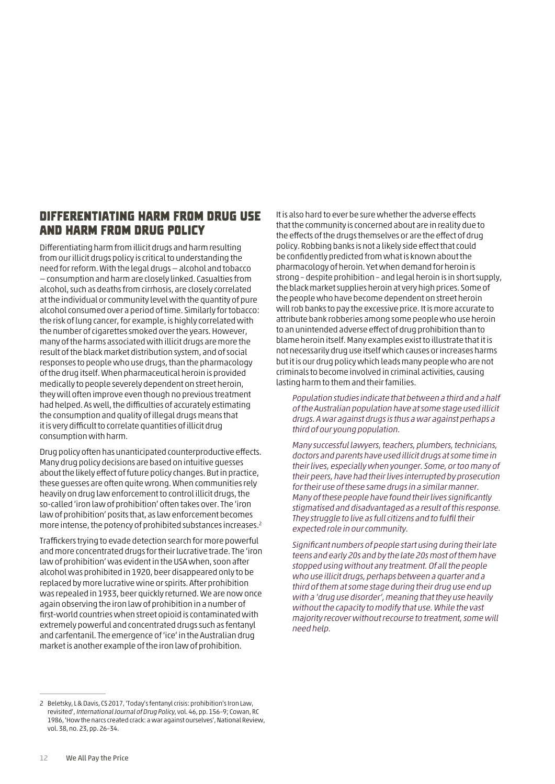### Differentiating harm from drug use and harm from drug policy

Differentiating harm from illicit drugs and harm resulting from our illicit drugs policy is critical to understanding the need for reform. With the legal drugs — alcohol and tobacco — consumption and harm are closely linked. Casualties from alcohol, such as deaths from cirrhosis, are closely correlated at the individual or community level with the quantity of pure alcohol consumed over a period of time. Similarly for tobacco: the risk of lung cancer, for example, is highly correlated with the number of cigarettes smoked over the years. However, many of the harms associated with illicit drugs are more the result of the black market distribution system, and of social responses to people who use drugs, than the pharmacology of the drug itself. When pharmaceutical heroin is provided medically to people severely dependent on street heroin, they will often improve even though no previous treatment had helped. As well, the difficulties of accurately estimating the consumption and quality of illegal drugs means that it is very difficult to correlate quantities of illicit drug consumption with harm.

Drug policy often has unanticipated counterproductive effects. Many drug policy decisions are based on intuitive guesses about the likely effect of future policy changes. But in practice, these guesses are often quite wrong. When communities rely heavily on drug law enforcement to control illicit drugs, the so-called 'iron law of prohibition' often takes over. The 'iron law of prohibition' posits that, as law enforcement becomes more intense, the potency of prohibited substances increases.2

Traffickers trying to evade detection search for more powerful and more concentrated drugs for their lucrative trade. The 'iron law of prohibition' was evident in the USA when, soon after alcohol was prohibited in 1920, beer disappeared only to be replaced by more lucrative wine or spirits. After prohibition was repealed in 1933, beer quickly returned. We are now once again observing the iron law of prohibition in a number of first-world countries when street opioid is contaminated with extremely powerful and concentrated drugs such as fentanyl and carfentanil. The emergence of 'ice' in the Australian drug market is another example of the iron law of prohibition.

It is also hard to ever be sure whether the adverse effects that the community is concerned about are in reality due to the effects of the drugs themselves or are the effect of drug policy. Robbing banks is not a likely side effect that could be confidently predicted from what is known about the pharmacology of heroin. Yet when demand for heroin is strong – despite prohibition – and legal heroin is in short supply, the black market supplies heroin at very high prices. Some of the people who have become dependent on street heroin will rob banks to pay the excessive price. It is more accurate to attribute bank robberies among some people who use heroin to an unintended adverse effect of drug prohibition than to blame heroin itself. Many examples exist to illustrate that it is not necessarily drug use itself which causes or increases harms but it is our drug policy which leads many people who are not criminals to become involved in criminal activities, causing lasting harm to them and their families.

Population studies indicate that between a third and a half of the Australian population have at some stage used illicit drugs. A war against drugs is thus a war against perhaps a third of our young population.

Many successful lawyers, teachers, plumbers, technicians, doctors and parents have used illicit drugs at some time in their lives, especially when younger. Some, or too many of their peers, have had their lives interrupted by prosecution for their use of these same drugs in a similar manner. Many of these people have found their lives significantly stigmatised and disadvantaged as a result of this response. They struggle to live as full citizens and to fulfil their expected role in our community.

Significant numbers of people start using during their late teens and early 20s and by the late 20s most of them have stopped using without any treatment. Of all the people who use illicit drugs, perhaps between a quarter and a third of them at some stage during their drug use end up with a 'drug use disorder', meaning that they use heavily without the capacity to modify that use. While the vast majority recover without recourse to treatment, some will need help.

<sup>2</sup> Beletsky, L & Davis, CS 2017, 'Today's fentanyl crisis: prohibition's Iron Law, revisited', International Journal of Drug Policy, vol. 46, pp. 156–9; Cowan, RC 1986, 'How the narcs created crack: a war against ourselves', National Review, vol. 38, no. 23, pp. 26–34.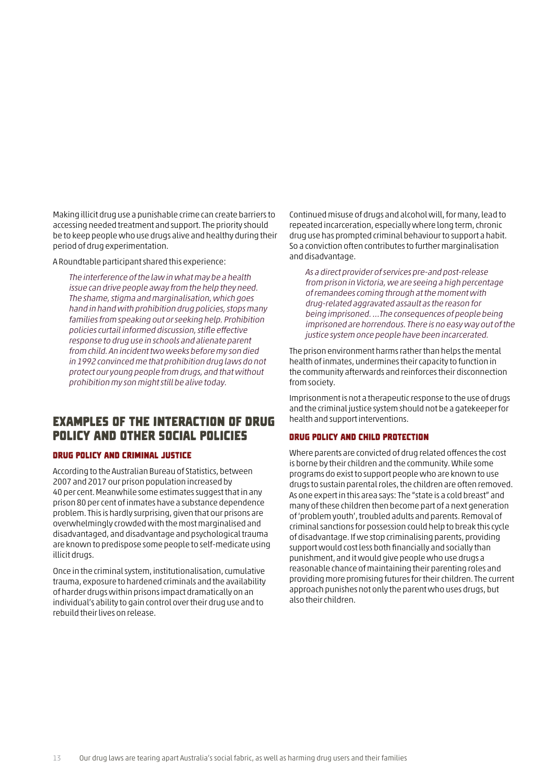Making illicit drug use a punishable crime can create barriers to accessing needed treatment and support. The priority should be to keep people who use drugs alive and healthy during their period of drug experimentation.

A Roundtable participant shared this experience:

The interference of the law in what may be a health issue can drive people away from the help they need. The shame, stigma and marginalisation, which goes hand in hand with prohibition drug policies, stops many families from speaking out or seeking help. Prohibition policies curtail informed discussion, stifle effective response to drug use in schools and alienate parent from child. An incident two weeks before my son died in 1992 convinced me that prohibition drug laws do not protect our young people from drugs, and that without prohibition my son might still be alive today.

### Examples of the interaction of drug policy and other social policies

#### Drug policy and criminal justice

According to the Australian Bureau of Statistics, between 2007 and 2017 our prison population increased by 40 per cent. Meanwhile some estimates suggest that in any prison 80 per cent of inmates have a substance dependence problem. This is hardly surprising, given that our prisons are overwhelmingly crowded with the most marginalised and disadvantaged, and disadvantage and psychological trauma are known to predispose some people to self-medicate using illicit drugs.

Once in the criminal system, institutionalisation, cumulative trauma, exposure to hardened criminals and the availability of harder drugs within prisons impact dramatically on an individual's ability to gain control over their drug use and to rebuild their lives on release.

Continued misuse of drugs and alcohol will, for many, lead to repeated incarceration, especially where long term, chronic drug use has prompted criminal behaviour to support a habit. So a conviction often contributes to further marginalisation and disadvantage.

As a direct provider of services pre-and post-release from prison in Victoria, we are seeing a high percentage of remandees coming through at the moment with drug-related aggravated assault as the reason for being imprisoned. …The consequences of people being imprisoned are horrendous. There is no easy way out of the justice system once people have been incarcerated.

The prison environment harms rather than helps the mental health of inmates, undermines their capacity to function in the community afterwards and reinforces their disconnection from society.

Imprisonment is not a therapeutic response to the use of drugs and the criminal justice system should not be a gatekeeper for health and support interventions.

#### Drug policy and child protection

Where parents are convicted of drug related offences the cost is borne by their children and the community. While some programs do exist to support people who are known to use drugs to sustain parental roles, the children are often removed. As one expert in this area says: The "state is a cold breast" and many of these children then become part of a next generation of 'problem youth', troubled adults and parents. Removal of criminal sanctions for possession could help to break this cycle of disadvantage. If we stop criminalising parents, providing support would cost less both financially and socially than punishment, and it would give people who use drugs a reasonable chance of maintaining their parenting roles and providing more promising futures for their children. The current approach punishes not only the parent who uses drugs, but also their children.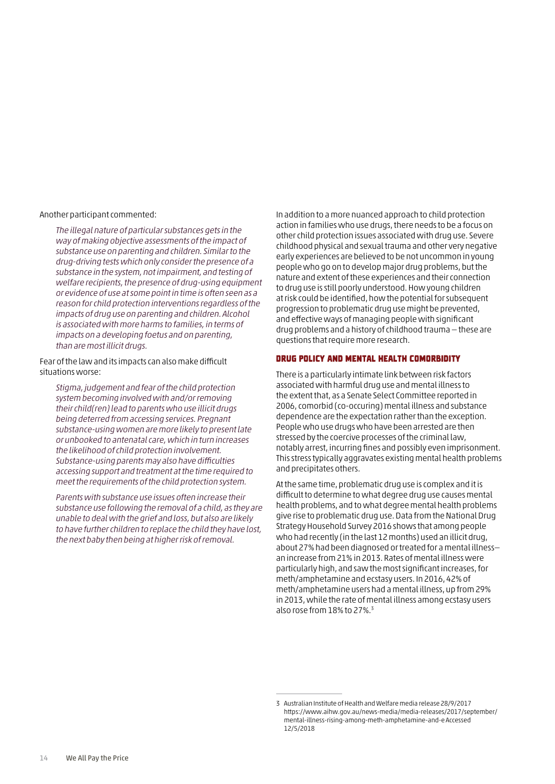Another participant commented:

The illegal nature of particular substances gets in the way of making objective assessments of the impact of substance use on parenting and children. Similar to the drug-driving tests which only consider the presence of a substance in the system, not impairment, and testing of welfare recipients, the presence of drug-using equipment or evidence of use at some point in time is often seen as a reason for child protection interventions regardless of the impacts of drug use on parenting and children. Alcohol is associated with more harms to families, in terms of impacts on a developing foetus and on parenting, than are most illicit drugs.

Fear of the law and its impacts can also make difficult situations worse:

Stigma, judgement and fear of the child protection system becoming involved with and/or removing their child(ren) lead to parents who use illicit drugs being deterred from accessing services. Pregnant substance-using women are more likely to present late or unbooked to antenatal care, which in turn increases the likelihood of child protection involvement. Substance-using parents may also have difficulties accessing support and treatment at the time required to meet the requirements of the child protection system.

Parents with substance use issues often increase their substance use following the removal of a child, as they are unable to deal with the grief and loss, but also are likely to have further children to replace the child they have lost, the next baby then being at higher risk of removal.

In addition to a more nuanced approach to child protection action in families who use drugs, there needs to be a focus on other child protection issues associated with drug use. Severe childhood physical and sexual trauma and other very negative early experiences are believed to be not uncommon in young people who go on to develop major drug problems, but the nature and extent of these experiences and their connection to drug use is still poorly understood. How young children at risk could be identified, how the potential for subsequent progression to problematic drug use might be prevented, and effective ways of managing people with significant drug problems and a history of childhood trauma — these are questions that require more research.

#### Drug policy and mental health comorbidity

There is a particularly intimate link between risk factors associated with harmful drug use and mental illness to the extent that, as a Senate Select Committee reported in 2006, comorbid (co-occuring) mental illness and substance dependence are the expectation rather than the exception. People who use drugs who have been arrested are then stressed by the coercive processes of the criminal law, notably arrest, incurring fines and possibly even imprisonment. This stress typically aggravates existing mental health problems and precipitates others.

At the same time, problematic drug use is complex and it is difficult to determine to what degree drug use causes mental health problems, and to what degree mental health problems give rise to problematic drug use. Data from the National Drug Strategy Household Survey 2016 shows that among people who had recently (in the last 12 months) used an illicit drug, about 27% had been diagnosed or treated for a mental illness an increase from 21% in 2013. Rates of mental illness were particularly high, and saw the most significant increases, for meth/amphetamine and ecstasy users. In 2016, 42% of meth/amphetamine users had a mental illness, up from 29% in 2013, while the rate of mental illness among ecstasy users also rose from 18% to 27%.3

<sup>3</sup> Australian Institute of Health and Welfare media release 28/9/2017 https://[www.aihw.gov.au/news-](http://www.aihw.gov.au/news-)media/media-releases/2017/september/ mental-illness-rising-among-meth-amphetamine-and-e Accessed 12/5/2018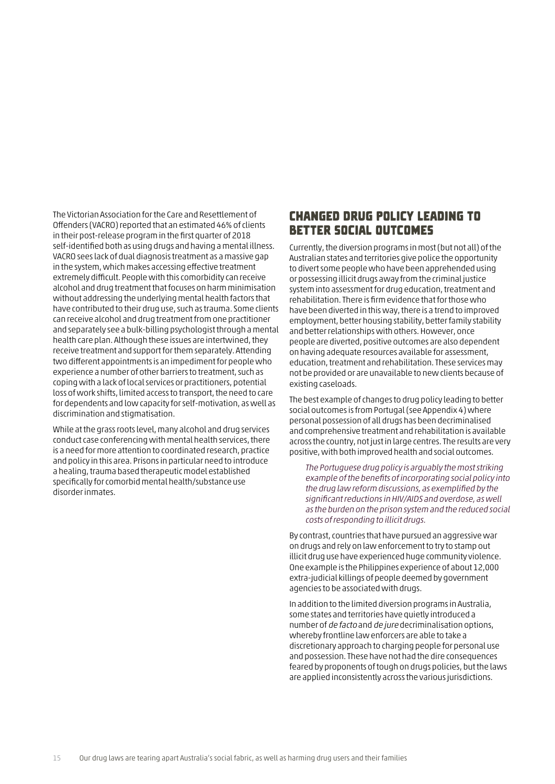The Victorian Association for the Care and Resettlement of Offenders (VACRO) reported that an estimated 46% of clients in their post-release program in the first quarter of 2018 self-identified both as using drugs and having a mental illness. VACRO sees lack of dual diagnosis treatment as a massive gap in the system, which makes accessing effective treatment extremely difficult. People with this comorbidity can receive alcohol and drug treatment that focuses on harm minimisation without addressing the underlying mental health factors that have contributed to their drug use, such as trauma. Some clients can receive alcohol and drug treatment from one practitioner and separately see a bulk-billing psychologist through a mental health care plan. Although these issues are intertwined, they receive treatment and support for them separately. Attending two different appointments is an impediment for people who experience a number of other barriers to treatment, such as coping with a lack of local services or practitioners, potential loss of work shifts, limited access to transport, the need to care for dependents and low capacity for self-motivation, as well as discrimination and stigmatisation.

While at the grass roots level, many alcohol and drug services conduct case conferencing with mental health services, there is a need for more attention to coordinated research, practice and policy in this area. Prisons in particular need to introduce a healing, trauma based therapeutic model established specifically for comorbid mental health/substance use disorder inmates.

### Changed drug policy leading to better social outcomes

Currently, the diversion programs in most (but not all) of the Australian states and territories give police the opportunity to divert some people who have been apprehended using or possessing illicit drugs away from the criminal justice system into assessment for drug education, treatment and rehabilitation. There is firm evidence that for those who have been diverted in this way, there is a trend to improved employment, better housing stability, better family stability and better relationships with others. However, once people are diverted, positive outcomes are also dependent on having adequate resources available for assessment, education, treatment and rehabilitation. These services may not be provided or are unavailable to new clients because of existing caseloads.

The best example of changes to drug policy leading to better social outcomes is from Portugal (see Appendix 4) where personal possession of all drugs has been decriminalised and comprehensive treatment and rehabilitation is available across the country, not just in large centres. The results are very positive, with both improved health and social outcomes.

The Portuguese drug policy is arguably the most striking example of the benefits of incorporating social policy into the drug law reform discussions, as exemplified by the significant reductions in HIV/AIDS and overdose, as well as the burden on the prison system and the reduced social costs of responding to illicit drugs.

By contrast, countries that have pursued an aggressive war on drugs and rely on law enforcement to try to stamp out illicit drug use have experienced huge community violence. One example is the Philippines experience of about 12,000 extra-judicial killings of people deemed by government agencies to be associated with drugs.

In addition to the limited diversion programs in Australia, some states and territories have quietly introduced a number of de facto and de jure decriminalisation options, whereby frontline law enforcers are able to take a discretionary approach to charging people for personal use and possession. These have not had the dire consequences feared by proponents of tough on drugs policies, but the laws are applied inconsistently across the various jurisdictions.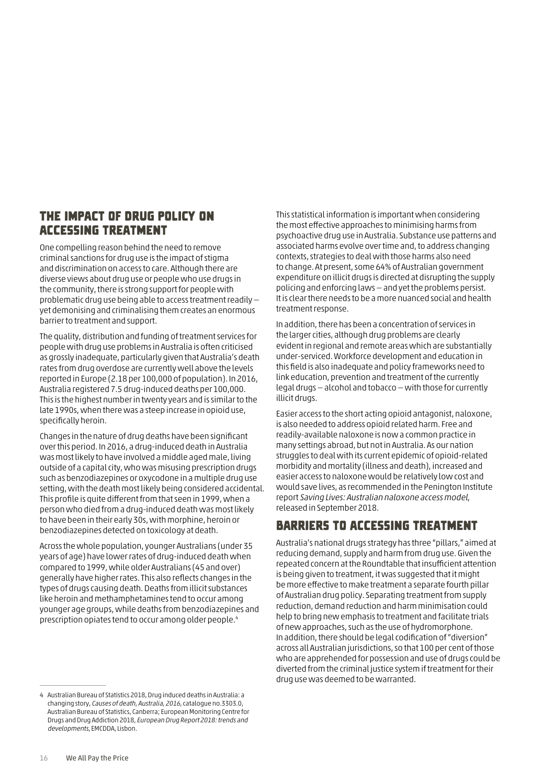### The impact of drug policy on accessing treatment

One compelling reason behind the need to remove criminal sanctions for drug use is the impact of stigma and discrimination on access to care. Although there are diverse views about drug use or people who use drugs in the community, there is strong support for people with problematic drug use being able to access treatment readily yet demonising and criminalising them creates an enormous barrier to treatment and support.

The quality, distribution and funding of treatment services for people with drug use problems in Australia is often criticised as grossly inadequate, particularly given that Australia's death rates from drug overdose are currently well above the levels reported in Europe (2.18 per 100,000 of population). In 2016, Australia registered 7.5 drug-induced deaths per 100,000. This is the highest number in twenty years and is similar to the late 1990s, when there was a steep increase in opioid use, specifically heroin.

Changes in the nature of drug deaths have been significant over this period. In 2016, a drug-induced death in Australia was most likely to have involved a middle aged male, living outside of a capital city, who was misusing prescription drugs such as benzodiazepines or oxycodone in a multiple drug use setting, with the death most likely being considered accidental. This profile is quite different from that seen in 1999, when a person who died from a drug-induced death was most likely to have been in their early 30s, with morphine, heroin or benzodiazepines detected on toxicology at death.

Across the whole population, younger Australians (under 35 years of age) have lower rates of drug-induced death when compared to 1999, while older Australians (45 and over) generally have higher rates. This also reflects changes in the types of drugs causing death. Deaths from illicit substances like heroin and methamphetamines tend to occur among younger age groups, while deaths from benzodiazepines and prescription opiates tend to occur among older people.4

This statistical information is important when considering the most effective approaches to minimising harms from psychoactive drug use in Australia. Substance use patterns and associated harms evolve over time and, to address changing contexts, strategies to deal with those harms also need to change. At present, some 64% of Australian government expenditure on illicit drugs is directed at disrupting the supply policing and enforcing laws — and yet the problems persist. It is clear there needs to be a more nuanced social and health treatment response.

In addition, there has been a concentration of services in the larger cities, although drug problems are clearly evident in regional and remote areas which are substantially under-serviced. Workforce development and education in this field is also inadequate and policy frameworks need to link education, prevention and treatment of the currently legal drugs — alcohol and tobacco — with those for currently illicit drugs.

Easier access to the short acting opioid antagonist, naloxone, is also needed to address opioid related harm. Free and readily-available naloxone is now a common practice in many settings abroad, but not in Australia. As our nation struggles to deal with its current epidemic of opioid-related morbidity and mortality (illness and death), increased and easier access to naloxone would be relatively low cost and would save lives, as recommended in the Penington Institute report Saving Lives: Australian naloxone access model, released in September 2018.

## Barriers to accessing treatment

Australia's national drugs strategy has three "pillars," aimed at reducing demand, supply and harm from drug use. Given the repeated concern at the Roundtable that insufficient attention is being given to treatment, it was suggested that it might be more effective to make treatment a separate fourth pillar of Australian drug policy. Separating treatment from supply reduction, demand reduction and harm minimisation could help to bring new emphasis to treatment and facilitate trials of new approaches, such as the use of hydromorphone. In addition, there should be legal codification of "diversion" across all Australian jurisdictions, so that 100 per cent of those who are apprehended for possession and use of drugs could be diverted from the criminal justice system if treatment for their drug use was deemed to be warranted.

<sup>4</sup> Australian Bureau of Statistics 2018, Drug induced deaths in Australia: a changing story, Causes of death, Australia, 2016, catalogue no.3303.0, Australian Bureau of Statistics, Canberra; European Monitoring Centre for Drugs and Drug Addiction 2018, European Drug Report 2018: trends and developments, EMCDDA, Lisbon.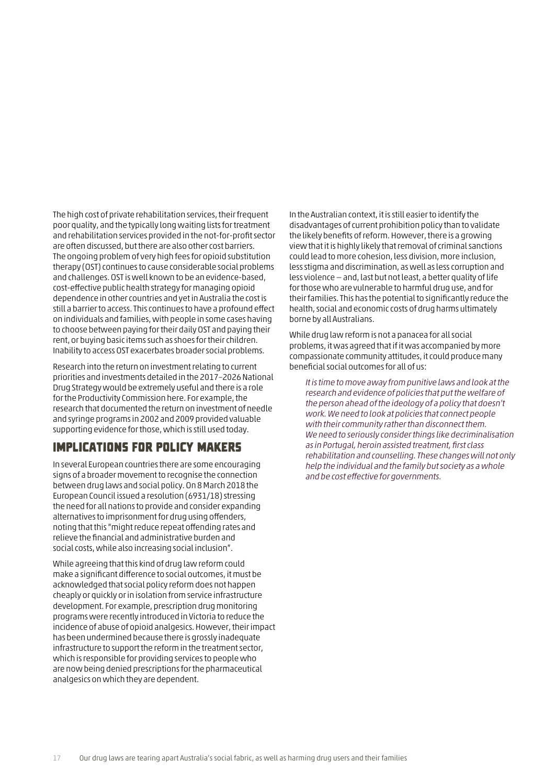The high cost of private rehabilitation services, their frequent poor quality, and the typically long waiting lists for treatment and rehabilitation services provided in the not-for-profit sector are often discussed, but there are also other cost barriers. The ongoing problem of very high fees for opioid substitution therapy (OST) continues to cause considerable social problems and challenges. OST is well known to be an evidence-based, cost-effective public health strategy for managing opioid dependence in other countries and yet in Australia the cost is still a barrier to access. This continues to have a profound effect on individuals and families, with people in some cases having to choose between paying for their daily OST and paying their rent, or buying basic items such as shoes for their children. Inability to access OST exacerbates broader social problems.

Research into the return on investment relating to current priorities and investments detailed in the 2017–2026 National Drug Strategy would be extremely useful and there is a role for the Productivity Commission here. For example, the research that documented the return on investment of needle and syringe programs in 2002 and 2009 provided valuable supporting evidence for those, which is still used today.

## Implications for policy makers

In several European countries there are some encouraging signs of a broader movement to recognise the connection between drug laws and social policy. On 8 March 2018 the European Council issued a resolution (6931/18) stressing the need for all nations to provide and consider expanding alternatives to imprisonment for drug using offenders, noting that this "might reduce repeat offending rates and relieve the financial and administrative burden and social costs, while also increasing social inclusion".

While agreeing that this kind of drug law reform could make a significant difference to social outcomes, it must be acknowledged that social policy reform does not happen cheaply or quickly or in isolation from service infrastructure development. For example, prescription drug monitoring programs were recently introduced in Victoria to reduce the incidence of abuse of opioid analgesics. However, their impact has been undermined because there is grossly inadequate infrastructure to support the reform in the treatment sector, which is responsible for providing services to people who are now being denied prescriptions for the pharmaceutical analgesics on which they are dependent.

In the Australian context, it is still easier to identify the disadvantages of current prohibition policy than to validate the likely benefits of reform. However, there is a growing view that it is highly likely that removal of criminal sanctions could lead to more cohesion, less division, more inclusion, less stigma and discrimination, as well as less corruption and less violence — and, last but not least, a better quality of life for those who are vulnerable to harmful drug use, and for their families. This has the potential to significantly reduce the health, social and economic costs of drug harms ultimately borne by all Australians.

While drug law reform is not a panacea for all social problems, it was agreed that if it was accompanied by more compassionate community attitudes, it could produce many beneficial social outcomes for all of us:

It is time to move away from punitive laws and look at the research and evidence of policies that put the welfare of the person ahead of the ideology of a policy that doesn't work. We need to look at policies that connect people with their community rather than disconnect them. We need to seriously consider things like decriminalisation as in Portugal, heroin assisted treatment, first class rehabilitation and counselling. These changes will not only help the individual and the family but society as a whole and be cost effective for governments.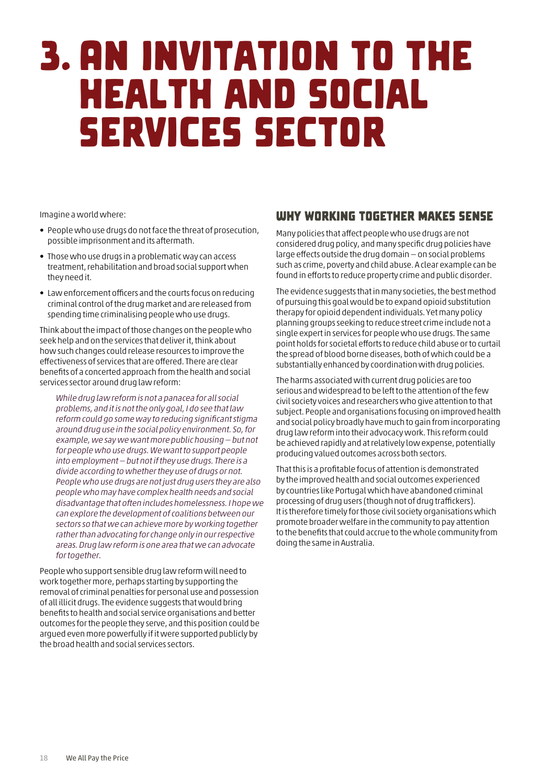## <span id="page-19-0"></span>3. An invitation to the health and social services sector

Imagine a world where:

- People who use drugs do not face the threat of prosecution, possible imprisonment and its aftermath.
- Those who use drugs in a problematic way can access treatment, rehabilitation and broad social support when they need it.
- Law enforcement officers and the courts focus on reducing criminal control of the drug market and are released from spending time criminalising people who use drugs.

Think about the impact of those changes on the people who seek help and on the services that deliver it, think about how such changes could release resources to improve the effectiveness of services that are offered. There are clear benefits of a concerted approach from the health and social services sector around drug law reform:

While drug law reform is not a panacea for all social problems, and it is not the only goal, I do see that law reform could go some way to reducing significant stigma around drug use in the social policy environment. So, for example, we say we want more public housing — but not for people who use drugs. We want to support people into employment — but not if they use drugs. There is a divide according to whether they use of drugs or not. People who use drugs are not just drug users they are also people who may have complex health needs and social disadvantage that often includes homelessness. I hope we can explore the development of coalitions between our sectors so that we can achieve more by working together rather than advocating for change only in our respective areas. Drug law reform is one area that we can advocate for together.

People who support sensible drug law reform will need to work together more, perhaps starting by supporting the removal of criminal penalties for personal use and possession of all illicit drugs. The evidence suggests that would bring benefits to health and social service organisations and better outcomes for the people they serve, and this position could be argued even more powerfully if it were supported publicly by the broad health and social services sectors.

### Why working together makes sense

Many policies that affect people who use drugs are not considered drug policy, and many specific drug policies have large effects outside the drug domain — on social problems such as crime, poverty and child abuse. A clear example can be found in efforts to reduce property crime and public disorder.

The evidence suggests that in many societies, the best method of pursuing this goal would be to expand opioid substitution therapy for opioid dependent individuals. Yet many policy planning groups seeking to reduce street crime include not a single expert in services for people who use drugs. The same point holds for societal efforts to reduce child abuse or to curtail the spread of blood borne diseases, both of which could be a substantially enhanced by coordination with drug policies.

The harms associated with current drug policies are too serious and widespread to be left to the attention of the few civil society voices and researchers who give attention to that subject. People and organisations focusing on improved health and social policy broadly have much to gain from incorporating drug law reform into their advocacy work. This reform could be achieved rapidly and at relatively low expense, potentially producing valued outcomes across both sectors.

That this is a profitable focus of attention is demonstrated by the improved health and social outcomes experienced by countries like Portugal which have abandoned criminal processing of drug users (though not of drug traffickers). It is therefore timely for those civil society organisations which promote broader welfare in the community to pay attention to the benefits that could accrue to the whole community from doing the same in Australia.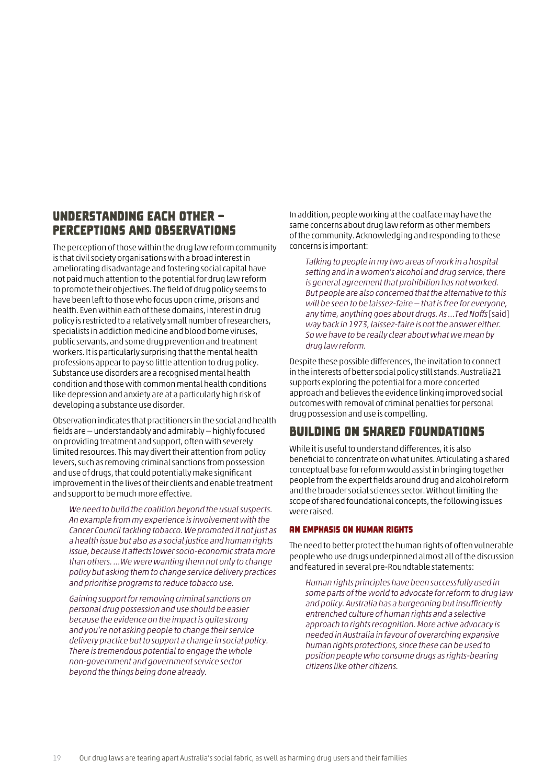### Understanding each other perceptions and observations

The perception of those within the drug law reform community is that civil society organisations with a broad interest in ameliorating disadvantage and fostering social capital have not paid much attention to the potential for drug law reform to promote their objectives. The field of drug policy seems to have been left to those who focus upon crime, prisons and health. Even within each of these domains, interest in drug policy is restricted to a relatively small number of researchers, specialists in addiction medicine and blood borne viruses, public servants, and some drug prevention and treatment workers. It is particularly surprising that the mental health professions appear to pay so little attention to drug policy. Substance use disorders are a recognised mental health condition and those with common mental health conditions like depression and anxiety are at a particularly high risk of developing a substance use disorder.

Observation indicates that practitioners in the social and health fields are — understandably and admirably — highly focused on providing treatment and support, often with severely limited resources. This may divert their attention from policy levers, such as removing criminal sanctions from possession and use of drugs, that could potentially make significant improvement in the lives of their clients and enable treatment and support to be much more effective.

We need to build the coalition beyond the usual suspects. An example from my experience is involvement with the Cancer Council tackling tobacco. We promoted it not just as a health issue but also as a social justice and human rights issue, because it affects lower socio-economic strata more than others. …We were wanting them not only to change policy but asking them to change service delivery practices and prioritise programs to reduce tobacco use.

Gaining support for removing criminal sanctions on personal drug possession and use should be easier because the evidence on the impact is quite strong and you're not asking people to change their service delivery practice but to support a change in social policy. There is tremendous potential to engage the whole non-government and government service sector beyond the things being done already.

In addition, people working at the coalface may have the same concerns about drug law reform as other members of the community. Acknowledging and responding to these concerns is important:

Talking to people in my two areas of work in a hospital setting and in a women's alcohol and drug service, there is general agreement that prohibition has not worked. But people are also concerned that the alternative to this will be seen to be laissez-faire — that is free for everyone, any time, anything goes about drugs. As …Ted Noffs [said] way back in 1973, laissez-faire is not the answer either. So we have to be really clear about what we mean by drug law reform.

Despite these possible differences, the invitation to connect in the interests of better social policy still stands. Australia21 supports exploring the potential for a more concerted approach and believes the evidence linking improved social outcomes with removal of criminal penalties for personal drug possession and use is compelling.

## Building on shared foundations

While it is useful to understand differences, it is also beneficial to concentrate on what unites. Articulating a shared conceptual base for reform would assist in bringing together people from the expert fields around drug and alcohol reform and the broader social sciences sector. Without limiting the scope of shared foundational concepts, the following issues were raised.

#### An emphasis on human rights

The need to better protect the human rights of often vulnerable people who use drugs underpinned almost all of the discussion and featured in several pre-Roundtable statements:

Human rights principles have been successfully used in some parts of the world to advocate for reform to drug law and policy. Australia has a burgeoning but insufficiently entrenched culture of human rights and a selective approach to rights recognition. More active advocacy is needed in Australia in favour of overarching expansive human rights protections, since these can be used to position people who consume drugs as rights-bearing citizens like other citizens.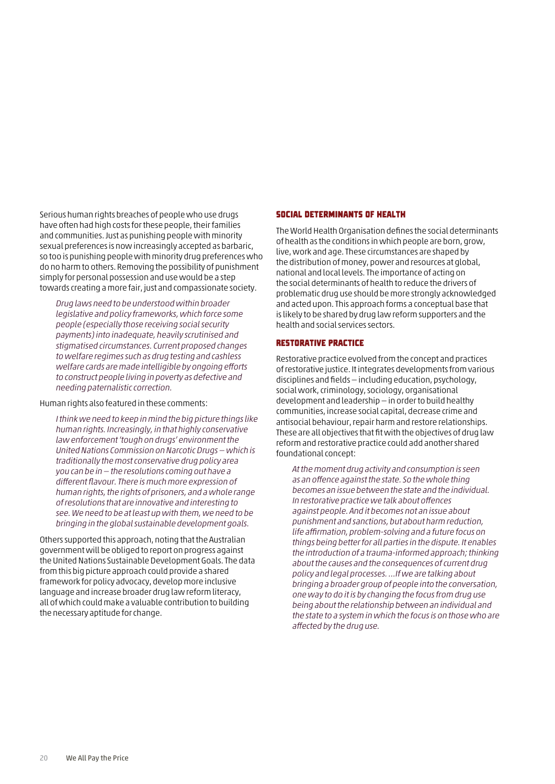Serious human rights breaches of people who use drugs have often had high costs for these people, their families and communities. Just as punishing people with minority sexual preferences is now increasingly accepted as barbaric, so too is punishing people with minority drug preferences who do no harm to others. Removing the possibility of punishment simply for personal possession and use would be a step towards creating a more fair, just and compassionate society.

Drug laws need to be understood within broader legislative and policy frameworks, which force some people (especially those receiving social security payments) into inadequate, heavily scrutinised and stigmatised circumstances. Current proposed changes to welfare regimes such as drug testing and cashless welfare cards are made intelligible by ongoing efforts to construct people living in poverty as defective and needing paternalistic correction.

#### Human rights also featured in these comments:

I think we need to keep in mind the big picture things like human rights. Increasingly, in that highly conservative law enforcement 'tough on drugs' environment the United Nations Commission on Narcotic Drugs — which is traditionally the most conservative drug policy area you can be in — the resolutions coming out have a different flavour. There is much more expression of human rights, the rights of prisoners, and a whole range of resolutions that are innovative and interesting to see. We need to be at least up with them, we need to be bringing in the global sustainable development goals.

Others supported this approach, noting that the Australian government will be obliged to report on progress against the United Nations Sustainable Development Goals. The data from this big picture approach could provide a shared framework for policy advocacy, develop more inclusive language and increase broader drug law reform literacy, all of which could make a valuable contribution to building the necessary aptitude for change.

#### Social determinants of health

The World Health Organisation defines the social determinants of health as the conditions in which people are born, grow, live, work and age. These circumstances are shaped by the distribution of money, power and resources at global, national and local levels. The importance of acting on the social determinants of health to reduce the drivers of problematic drug use should be more strongly acknowledged and acted upon. This approach forms a conceptual base that is likely to be shared by drug law reform supporters and the health and social services sectors.

#### Restorative practice

Restorative practice evolved from the concept and practices of restorative justice. It integrates developments from various disciplines and fields — including education, psychology, social work, criminology, sociology, organisational development and leadership — in order to build healthy communities, increase social capital, decrease crime and antisocial behaviour, repair harm and restore relationships. These are all objectives that fit with the objectives of drug law reform and restorative practice could add another shared foundational concept:

At the moment drug activity and consumption is seen as an offence against the state. So the whole thing becomes an issue between the state and the individual. In restorative practice we talk about offences against people. And it becomes not an issue about punishment and sanctions, but about harm reduction, life affirmation, problem-solving and a future focus on things being better for all parties in the dispute. It enables the introduction of a trauma-informed approach; thinking about the causes and the consequences of current drug policy and legal processes. …If we are talking about bringing a broader group of people into the conversation, one way to do it is by changing the focus from drug use being about the relationship between an individual and the state to a system in which the focus is on those who are affected by the drug use.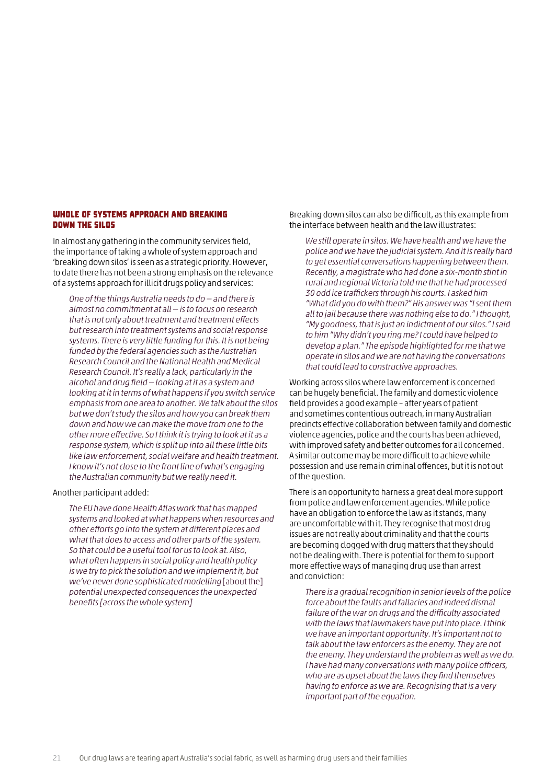#### Whole of systems approach and breaking down the silos

In almost any gathering in the community services field, the importance of taking a whole of system approach and 'breaking down silos' is seen as a strategic priority. However, to date there has not been a strong emphasis on the relevance of a systems approach for illicit drugs policy and services:

One of the things Australia needs to do — and there is almost no commitment at all — is to focus on research that is not only about treatment and treatment effects but research into treatment systems and social response systems. There is very little funding for this. It is not being funded by the federal agencies such as the Australian Research Council and the National Health and Medical Research Council. It's really a lack, particularly in the alcohol and drug field — looking at it as a system and looking at it in terms of what happens if you switch service emphasis from one area to another. We talk about the silos but we don't study the silos and how you can break them down and how we can make the move from one to the other more effective. So I think it is trying to look at it as a response system, which is split up into all these little bits like law enforcement, social welfare and health treatment. I know it's not close to the front line of what's engaging the Australian community but we really need it.

Another participant added:

The EU have done Health Atlas work that has mapped systems and looked at what happens when resources and other efforts go into the system at different places and what that does to access and other parts of the system. So that could be a useful tool for us to look at. Also, what often happens in social policy and health policy is we try to pick the solution and we implement it, but we've never done sophisticated modelling [about the] potential unexpected consequences the unexpected benefits [across the whole system]

Breaking down silos can also be difficult, as this example from the interface between health and the law illustrates:

We still operate in silos. We have health and we have the police and we have the judicial system. And it is really hard to get essential conversations happening between them. Recently, a magistrate who had done a six-month stint in rural and regional Victoria told me that he had processed 30 odd ice traffickers through his courts. I asked him "What did you do with them?" His answer was "I sent them all to jail because there was nothing else to do." I thought, "My goodness, that is just an indictment of our silos." I said to him "Why didn't you ring me? I could have helped to develop a plan." The episode highlighted for me that we operate in silos and we are not having the conversations that could lead to constructive approaches.

Working across silos where law enforcement is concerned can be hugely beneficial. The family and domestic violence field provides a good example – after years of patient and sometimes contentious outreach, in many Australian precincts effective collaboration between family and domestic violence agencies, police and the courts has been achieved, with improved safety and better outcomes for all concerned. A similar outcome may be more difficult to achieve while possession and use remain criminal offences, but it is not out of the question.

There is an opportunity to harness a great deal more support from police and law enforcement agencies. While police have an obligation to enforce the law as it stands, many are uncomfortable with it. They recognise that most drug issues are not really about criminality and that the courts are becoming clogged with drug matters that they should not be dealing with. There is potential for them to support more effective ways of managing drug use than arrest and conviction:

There is a gradual recognition in senior levels of the police force about the faults and fallacies and indeed dismal failure of the war on drugs and the difficulty associated with the laws that lawmakers have put into place. I think we have an important opportunity. It's important not to talk about the law enforcers as the enemy. They are not the enemy. They understand the problem as well as we do. I have had many conversations with many police officers, who are as upset about the laws they find themselves having to enforce as we are. Recognising that is a very important part of the equation.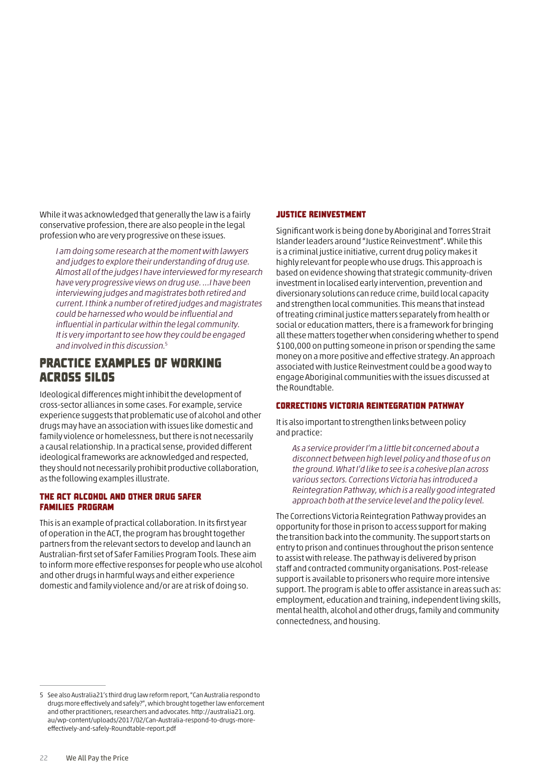While it was acknowledged that generally the law is a fairly conservative profession, there are also people in the legal profession who are very progressive on these issues.

I am doing some research at the moment with lawyers and judges to explore their understanding of drug use. Almost all of the judges I have interviewed for my research have very progressive views on drug use. …I have been interviewing judges and magistrates both retired and current. I think a number of retired judges and magistrates could be harnessed who would be influential and influential in particular within the legal community. It is very important to see how they could be engaged and involved in this discussion.5

### Practice examples of working across silos

Ideological differences might inhibit the development of cross-sector alliances in some cases. For example, service experience suggests that problematic use of alcohol and other drugs may have an association with issues like domestic and family violence or homelessness, but there is not necessarily a causal relationship. In a practical sense, provided different ideological frameworks are acknowledged and respected, they should not necessarily prohibit productive collaboration, as the following examples illustrate.

#### The ACT Alcohol and Other Drug Safer Families Program

This is an example of practical collaboration. In its first year of operation in the ACT, the program has brought together partners from the relevant sectors to develop and launch an Australian-first set of Safer Families Program Tools. These aim to inform more effective responses for people who use alcohol and other drugs in harmful ways and either experience domestic and family violence and/or are at risk of doing so.

#### Justice Reinvestment

Significant work is being done by Aboriginal and Torres Strait Islander leaders around "Justice Reinvestment". While this is a criminal justice initiative, current drug policy makes it highly relevant for people who use drugs. This approach is based on evidence showing that strategic community-driven investment in localised early intervention, prevention and diversionary solutions can reduce crime, build local capacity and strengthen local communities. This means that instead of treating criminal justice matters separately from health or social or education matters, there is a framework for bringing all these matters together when considering whether to spend \$100,000 on putting someone in prison or spending the same money on a more positive and effective strategy. An approach associated with Justice Reinvestment could be a good way to engage Aboriginal communities with the issues discussed at the Roundtable.

#### Corrections Victoria Reintegration Pathway

It is also important to strengthen links between policy and practice:

As a service provider I'm a little bit concerned about a disconnect between high level policy and those of us on the ground. What I'd like to see is a cohesive plan across various sectors. Corrections Victoria has introduced a Reintegration Pathway, which is a really good integrated approach both at the service level and the policy level.

The Corrections Victoria Reintegration Pathway provides an opportunity for those in prison to access support for making the transition back into the community. The support starts on entry to prison and continues throughout the prison sentence to assist with release. The pathway is delivered by prison staff and contracted community organisations. Post-release support is available to prisoners who require more intensive support. The program is able to offer assistance in areas such as: employment, education and training, independent living skills, mental health, alcohol and other drugs, family and community connectedness, and housing.

<sup>5</sup> See also Australia21's third drug law reform report, "Can Australia respond to drugs more effectively and safely?", which brought together law enforcement and other practitioners, researchers and advocates. [http://australia21.org.](http://australia21.org.au/wp-content/uploads/2017/02/Can-Australia-respond-to-drugs-more-effectively-and-safely-Roundtable-report.pdf) [au/wp-content/uploads/2017/02/Can-Australia-respond-to-drugs-more](http://australia21.org.au/wp-content/uploads/2017/02/Can-Australia-respond-to-drugs-more-effectively-and-safely-Roundtable-report.pdf)[effectively-and-safely-Roundtable-report.pdf](http://australia21.org.au/wp-content/uploads/2017/02/Can-Australia-respond-to-drugs-more-effectively-and-safely-Roundtable-report.pdf)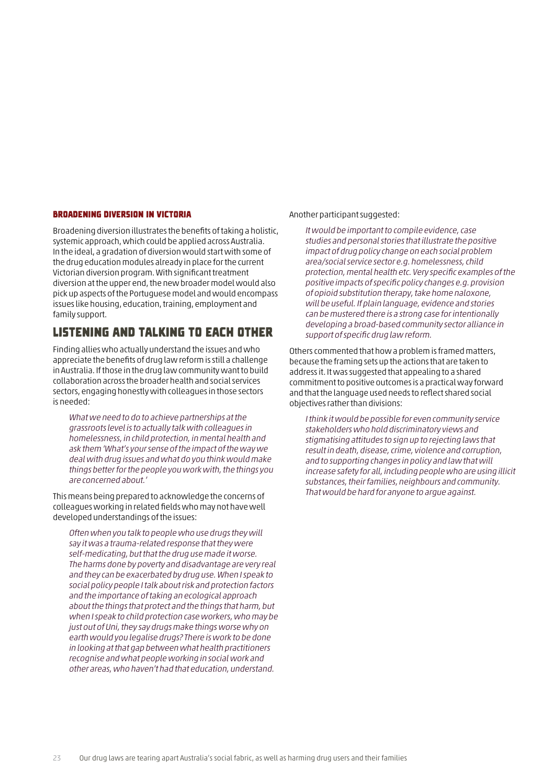#### Broadening diversion in Victoria

Broadening diversion illustrates the benefits of taking a holistic, systemic approach, which could be applied across Australia. In the ideal, a gradation of diversion would start with some of the drug education modules already in place for the current Victorian diversion program. With significant treatment diversion at the upper end, the new broader model would also pick up aspects of the Portuguese model and would encompass issues like housing, education, training, employment and family support.

### Listening and talking to each other

Finding allies who actually understand the issues and who appreciate the benefits of drug law reform is still a challenge in Australia. If those in the drug law community want to build collaboration across the broader health and social services sectors, engaging honestly with colleagues in those sectors is needed:

What we need to do to achieve partnerships at the grassroots level is to actually talk with colleagues in homelessness, in child protection, in mental health and ask them 'What's your sense of the impact of the way we deal with drug issues and what do you think would make things better for the people you work with, the things you are concerned about.'

This means being prepared to acknowledge the concerns of colleagues working in related fields who may not have well developed understandings of the issues:

Often when you talk to people who use drugs they will say it was a trauma-related response that they were self-medicating, but that the drug use made it worse. The harms done by poverty and disadvantage are very real and they can be exacerbated by drug use. When I speak to social policy people I talk about risk and protection factors and the importance of taking an ecological approach about the things that protect and the things that harm, but when I speak to child protection case workers, who may be just out of Uni, they say drugs make things worse why on earth would you legalise drugs? There is work to be done in looking at that gap between what health practitioners recognise and what people working in social work and other areas, who haven't had that education, understand.

#### Another participant suggested:

It would be important to compile evidence, case studies and personal stories that illustrate the positive impact of drug policy change on each social problem area/social service sector e.g. homelessness, child protection, mental health etc. Very specific examples of the positive impacts of specific policy changes e.g. provision of opioid substitution therapy, take home naloxone, will be useful. If plain language, evidence and stories can be mustered there is a strong case for intentionally developing a broad-based community sector alliance in support of specific drug law reform.

Others commented that how a problem is framed matters, because the framing sets up the actions that are taken to address it. It was suggested that appealing to a shared commitment to positive outcomes is a practical way forward and that the language used needs to reflect shared social objectives rather than divisions:

I think it would be possible for even community service stakeholders who hold discriminatory views and stigmatising attitudes to sign up to rejecting laws that result in death, disease, crime, violence and corruption, and to supporting changes in policy and law that will increase safety for all, including people who are using illicit substances, their families, neighbours and community. That would be hard for anyone to argue against.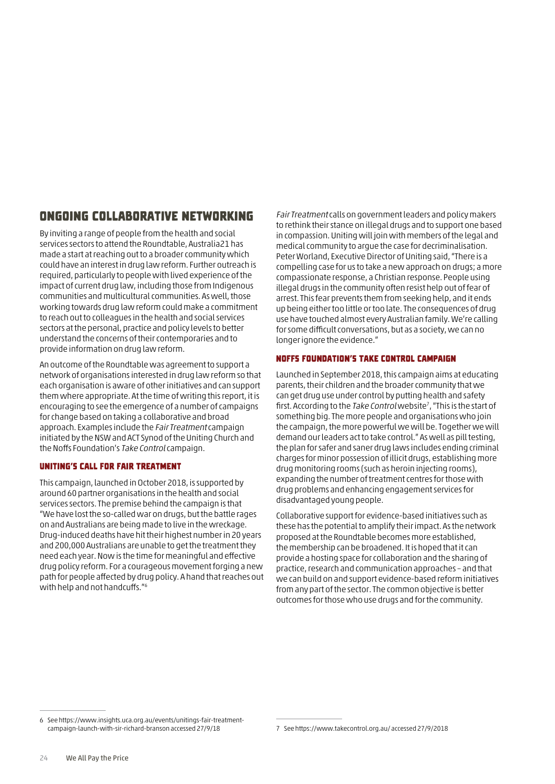## Ongoing collaborative networking

By inviting a range of people from the health and social services sectors to attend the Roundtable, Australia21 has made a start at reaching out to a broader community which could have an interest in drug law reform. Further outreach is required, particularly to people with lived experience of the impact of current drug law, including those from Indigenous communities and multicultural communities. As well, those working towards drug law reform could make a commitment to reach out to colleagues in the health and social services sectors at the personal, practice and policy levels to better understand the concerns of their contemporaries and to provide information on drug law reform.

An outcome of the Roundtable was agreement to support a network of organisations interested in drug law reform so that each organisation is aware of other initiatives and can support them where appropriate. At the time of writing this report, it is encouraging to see the emergence of a number of campaigns for change based on taking a collaborative and broad approach. Examples include the Fair Treatment campaign initiated by the NSW and ACT Synod of the Uniting Church and the Noffs Foundation's Take Control campaign.

#### Uniting's call for Fair Treatment

This campaign, launched in October 2018, is supported by around 60 partner organisations in the health and social services sectors. The premise behind the campaign is that "We have lost the so-called war on drugs, but the battle rages on and Australians are being made to live in the wreckage. Drug-induced deaths have hit their highest number in 20 years and 200,000 Australians are unable to get the treatment they need each year. Now is the time for meaningful and effective drug policy reform. For a courageous movement forging a new path for people affected by drug policy. A hand that reaches out with help and not handcuffs."6

Fair Treatment calls on government leaders and policy makers to rethink their stance on illegal drugs and to support one based in compassion. Uniting will join with members of the legal and medical community to argue the case for decriminalisation. Peter Worland, Executive Director of Uniting said, "There is a compelling case for us to take a new approach on drugs; a more compassionate response, a Christian response. People using illegal drugs in the community often resist help out of fear of arrest. This fear prevents them from seeking help, and it ends up being either too little or too late. The consequences of drug use have touched almost every Australian family. We're calling for some difficult conversations, but as a society, we can no longer ignore the evidence."

#### Noffs Foundation's Take Control Campaign

Launched in September 2018, this campaign aims at educating parents, their children and the broader community that we can get drug use under control by putting health and safety first. According to the Take Control website<sup>7</sup>, "This is the start of something big. The more people and organisations who join the campaign, the more powerful we will be. Together we will demand our leaders act to take control." As well as pill testing, the plan for safer and saner drug laws includes ending criminal charges for minor possession of illicit drugs, establishing more drug monitoring rooms (such as heroin injecting rooms), expanding the number of treatment centres for those with drug problems and enhancing engagement services for disadvantaged young people.

Collaborative support for evidence-based initiatives such as these has the potential to amplify their impact. As the network proposed at the Roundtable becomes more established, the membership can be broadened. It is hoped that it can provide a hosting space for collaboration and the sharing of practice, research and communication approaches – and that we can build on and support evidence-based reform initiatives from any part of the sector. The common objective is better outcomes for those who use drugs and for the community.

<sup>6</sup> See [https://www.insights.uca.org.au/events/unitings-fair-treatment](https://www.insights.uca.org.au/events/unitings-fair-treatment-campaign-launch-with-sir-richard-branson accessed 27/9/18)[campaign-launch-with-sir-richard-branson accessed 27/9/18](https://www.insights.uca.org.au/events/unitings-fair-treatment-campaign-launch-with-sir-richard-branson accessed 27/9/18)

<sup>7</sup> See<https://www.takecontrol.org.au/>accessed 27/9/2018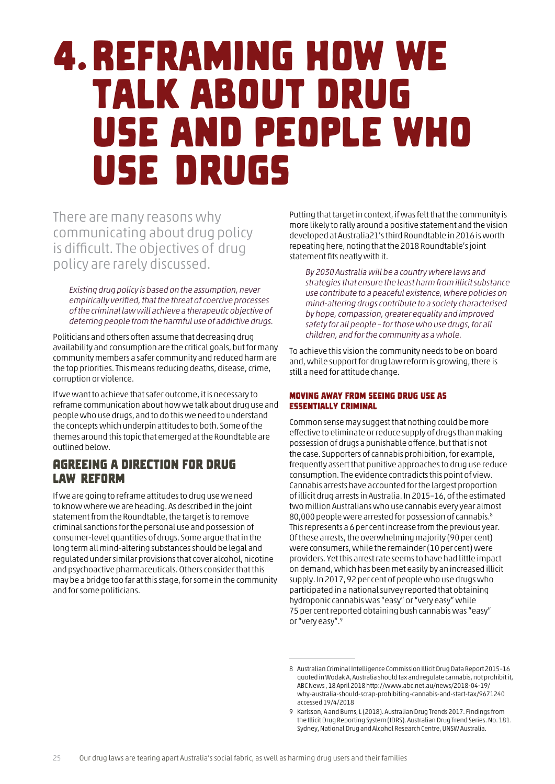## <span id="page-26-0"></span>4. Reframing how we talk about drug use and people who use drugs

There are many reasons why communicating about drug policy is difficult. The objectives of drug policy are rarely discussed.

Existing drug policy is based on the assumption, never empirically verified, that the threat of coercive processes of the criminal law will achieve a therapeutic objective of deterring people from the harmful use of addictive drugs.

Politicians and others often assume that decreasing drug availability and consumption are the critical goals, but for many community members a safer community and reduced harm are the top priorities. This means reducing deaths, disease, crime, corruption or violence.

If we want to achieve that safer outcome, it is necessary to reframe communication about how we talk about drug use and people who use drugs, and to do this we need to understand the concepts which underpin attitudes to both. Some of the themes around this topic that emerged at the Roundtable are outlined below.

### Agreeing a direction for drug law reform

If we are going to reframe attitudes to drug use we need to know where we are heading. As described in the joint statement from the Roundtable, the target is to remove criminal sanctions for the personal use and possession of consumer-level quantities of drugs. Some argue that in the long term all mind-altering substances should be legal and regulated under similar provisions that cover alcohol, nicotine and psychoactive pharmaceuticals. Others consider that this may be a bridge too far at this stage, for some in the community and for some politicians.

Putting that target in context, if was felt that the community is more likely to rally around a positive statement and the vision developed at Australia21's third Roundtable in 2016 is worth repeating here, noting that the 2018 Roundtable's joint statement fits neatly with it.

By 2030 Australia will be a country where laws and strategies that ensure the least harm from illicit substance use contribute to a peaceful existence, where policies on mind-altering drugs contribute to a society characterised by hope, compassion, greater equality and improved safety for all people – for those who use drugs, for all children, and for the community as a whole.

To achieve this vision the community needs to be on board and, while support for drug law reform is growing, there is still a need for attitude change.

#### Moving away from seeing drug use as essentially criminal

Common sense may suggest that nothing could be more effective to eliminate or reduce supply of drugs than making possession of drugs a punishable offence, but that is not the case. Supporters of cannabis prohibition, for example, frequently assert that punitive approaches to drug use reduce consumption. The evidence contradicts this point of view. Cannabis arrests have accounted for the largest proportion of illicit drug arrests in Australia. In 2015–16, of the estimated two million Australians who use cannabis every year almost 80,000 people were arrested for possession of cannabis.8 This represents a 6 per cent increase from the previous year. Of these arrests, the overwhelming majority (90 per cent) were consumers, while the remainder (10 per cent) were providers. Yet this arrest rate seems to have had little impact on demand, which has been met easily by an increased illicit supply. In 2017, 92 per cent of people who use drugs who participated in a national survey reported that obtaining hydroponic cannabis was "easy" or "very easy" while 75 per cent reported obtaining bush cannabis was "easy" or "very easy".9

<sup>8</sup> Australian Criminal Intelligence Commission Illicit Drug Data Report 2015–16 quoted in Wodak A, Australia should tax and regulate cannabis, not prohibit it, ABC News , 18 April 2018 [http://www.abc.net.au/news/2018-04-19/](http://www.abc.net.au/news/2018-04-19/why-australia-should-scrap-prohibiting-cannabis-and-start-tax/9671240) [why-a](http://www.abc.net.au/news/2018-04-19/why-australia-should-scrap-prohibiting-cannabis-and-start-tax/9671240)ustralia-should-scrap-prohibiting-cannabis-and-start-tax/9671240 accessed 19/4/2018

<sup>9</sup> Karlsson, A and Burns, L (2018). Australian Drug Trends 2017. Findings from the Illicit Drug Reporting System (IDRS). Australian Drug Trend Series. No. 181. Sydney, National Drug and Alcohol Research Centre, UNSW Australia.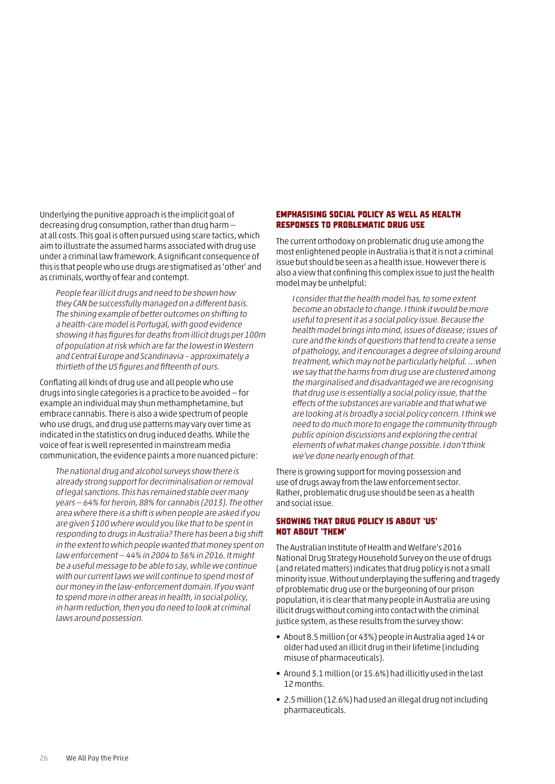Underlying the punitive approach is the implicit goal of decreasing drug consumption, rather than drug harm at all costs. This goal is often pursued using scare tactics, which aim to illustrate the assumed harms associated with drug use under a criminal law framework. A significant consequence of this is that people who use drugs are stigmatised as 'other' and as criminals, worthy of fear and contempt.

People fear illicit drugs and need to be shown how they CAN be successfully managed on a different basis. The shining example of better outcomes on shifting to a health-care model is Portugal, with good evidence showing it has figures for deaths from illicit drugs per 100m of population at risk which are far the lowest in Western and Central Europe and Scandinavia – approximately a thirtieth of the US figures and fifteenth of ours.

Conflating all kinds of drug use and all people who use drugs into single categories is a practice to be avoided — for example an individual may shun methamphetamine, but embrace cannabis. There is also a wide spectrum of people who use drugs, and drug use patterns may vary over time as indicated in the statistics on drug induced deaths. While the voice of fear is well represented in mainstream media communication, the evidence paints a more nuanced picture:

The national drug and alcohol surveys show there is already strong support for decriminalisation or removal of legal sanctions. This has remained stable over many years — 64% for heroin, 88% for cannabis (2013). The other area where there is a shift is when people are asked if you are given \$100 where would you like that to be spent in responding to drugs in Australia? There has been a big shift in the extent to which people wanted that money spent on law enforcement — 44% in 2004 to 36% in 2016. It might be a useful message to be able to say, while we continue with our current laws we will continue to spend most of our money in the law-enforcement domain. If you want to spend more in other areas in health, in social policy, in harm reduction, then you do need to look at criminal laws around possession.

#### Emphasising social policy as well as health responses to problematic drug use

The current orthodoxy on problematic drug use among the most enlightened people in Australia is that it is not a criminal issue but should be seen as a health issue. However there is also a view that confining this complex issue to just the health model may be unhelpful:

I consider that the health model has, to some extent become an obstacle to change. I think it would be more useful to present it as a social policy issue. Because the health model brings into mind, issues of disease; issues of cure and the kinds of questions that tend to create a sense of pathology, and it encourages a degree of siloing around treatment, which may not be particularly helpful. …when we say that the harms from drug use are clustered among the marginalised and disadvantaged we are recognising that drug use is essentially a social policy issue, that the effects of the substances are variable and that what we are looking at is broadly a social policy concern. I think we need to do much more to engage the community through public opinion discussions and exploring the central elements of what makes change possible. I don't think we've done nearly enough of that.

There is growing support for moving possession and use of drugs away from the law enforcement sector. Rather, problematic drug use should be seen as a health and social issue.

#### Showing that drug policy is about 'us' not about 'them'

The Australian Institute of Health and Welfare's 2016 National Drug Strategy Household Survey on the use of drugs (and related matters) indicates that drug policy is not a small minority issue. Without underplaying the suffering and tragedy of problematic drug use or the burgeoning of our prison population, it is clear that many people in Australia are using illicit drugs without coming into contact with the criminal justice system, as these results from the survey show:

- About 8.5 million (or 43%) people in Australia aged 14 or older had used an illicit drug in their lifetime (including misuse of pharmaceuticals).
- Around 3.1 million (or 15.6%) had illicitly used in the last 12 months.
- 2.5 million (12.6%) had used an illegal drug not including pharmaceuticals.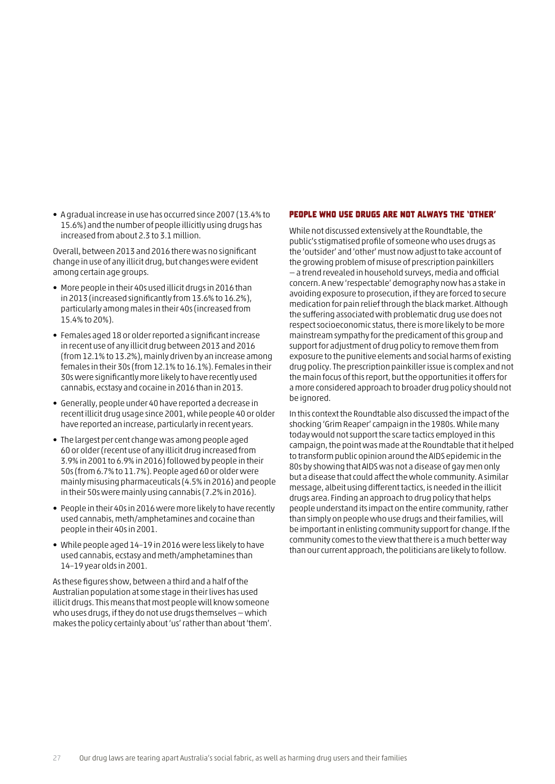• A gradual increase in use has occurred since 2007 (13.4% to 15.6%) and the number of people illicitly using drugs has increased from about 2.3 to 3.1 million.

Overall, between 2013 and 2016 there was no significant change in use of any illicit drug, but changes were evident among certain age groups.

- More people in their 40s used illicit drugs in 2016 than in 2013 (increased significantly from 13.6% to 16.2%), particularly among males in their 40s (increased from 15.4% to 20%).
- Females aged 18 or older reported a significant increase in recent use of any illicit drug between 2013 and 2016 (from 12.1% to 13.2%), mainly driven by an increase among females in their 30s (from 12.1% to 16.1%). Females in their 30s were significantly more likely to have recently used cannabis, ecstasy and cocaine in 2016 than in 2013.
- Generally, people under 40 have reported a decrease in recent illicit drug usage since 2001, while people 40 or older have reported an increase, particularly in recent years.
- The largest per cent change was among people aged 60 or older (recent use of any illicit drug increased from 3.9% in 2001 to 6.9% in 2016) followed by people in their 50s (from 6.7% to 11.7%). People aged 60 or older were mainly misusing pharmaceuticals (4.5% in 2016) and people in their 50s were mainly using cannabis (7.2% in 2016).
- People in their 40s in 2016 were more likely to have recently used cannabis, meth/amphetamines and cocaine than people in their 40s in 2001.
- While people aged 14–19 in 2016 were less likely to have used cannabis, ecstasy and meth/amphetamines than 14–19 year olds in 2001.

As these figures show, between a third and a half of the Australian population at some stage in their lives has used illicit drugs. This means that most people will know someone who uses drugs, if they do not use drugs themselves — which makes the policy certainly about 'us' rather than about 'them'.

#### People who use drugs are not always the 'other'

While not discussed extensively at the Roundtable, the public's stigmatised profile of someone who uses drugs as the 'outsider' and 'other' must now adjust to take account of the growing problem of misuse of prescription painkillers — a trend revealed in household surveys, media and official concern. A new 'respectable' demography now has a stake in avoiding exposure to prosecution, if they are forced to secure medication for pain relief through the black market. Although the suffering associated with problematic drug use does not respect socioeconomic status, there is more likely to be more mainstream sympathy for the predicament of this group and support for adjustment of drug policy to remove them from exposure to the punitive elements and social harms of existing drug policy. The prescription painkiller issue is complex and not the main focus of this report, but the opportunities it offers for a more considered approach to broader drug policy should not be ignored.

In this context the Roundtable also discussed the impact of the shocking 'Grim Reaper' campaign in the 1980s. While many today would not support the scare tactics employed in this campaign, the point was made at the Roundtable that it helped to transform public opinion around the AIDS epidemic in the 80s by showing that AIDS was not a disease of gay men only but a disease that could affect the whole community. A similar message, albeit using different tactics, is needed in the illicit drugs area. Finding an approach to drug policy that helps people understand its impact on the entire community, rather than simply on people who use drugs and their families, will be important in enlisting community support for change. If the community comes to the view that there is a much better way than our current approach, the politicians are likely to follow.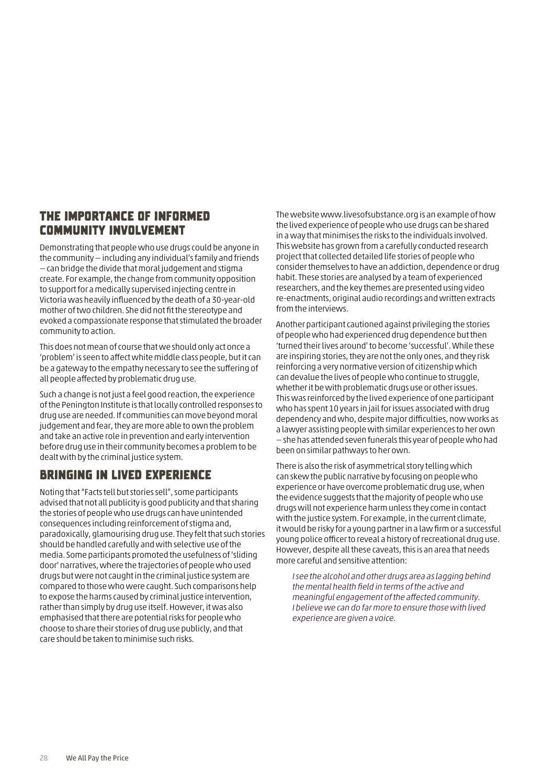### The importance of informed community involvement

Demonstrating that people who use drugs could be anyone in the community — including any individual's family and friends — can bridge the divide that moral judgement and stigma create. For example, the change from community opposition to support for a medically supervised injecting centre in Victoria was heavily influenced by the death of a 30-year-old mother of two children. She did not fit the stereotype and evoked a compassionate response that stimulated the broader community to action.

This does not mean of course that we should only act once a 'problem' is seen to affect white middle class people, but it can be a gateway to the empathy necessary to see the suffering of all people affected by problematic drug use.

Such a change is not just a feel good reaction, the experience of the Penington Institute is that locally controlled responses to drug use are needed. If communities can move beyond moral judgement and fear, they are more able to own the problem and take an active role in prevention and early intervention before drug use in their community becomes a problem to be dealt with by the criminal justice system.

## Bringing in lived experience

Noting that "Facts tell but stories sell", some participants advised that not all publicity is good publicity and that sharing the stories of people who use drugs can have unintended consequences including reinforcement of stigma and, paradoxically, glamourising drug use. They felt that such stories should be handled carefully and with selective use of the media. Some participants promoted the usefulness of 'sliding door' narratives, where the trajectories of people who used drugs but were not caught in the criminal justice system are compared to those who were caught. Such comparisons help to expose the harms caused by criminal justice intervention, rather than simply by drug use itself. However, it was also emphasised that there are potential risks for people who choose to share their stories of drug use publicly, and that care should be taken to minimise such risks.

The website [www.livesofsubstance.org](https://www.livesofsubstance.org/)is an example of how the lived experience of people who use drugs can be shared in a way that minimises the risks to the individuals involved. This website has grown from a carefully conducted research project that collected detailed life stories of people who consider themselves to have an addiction, dependence or drug habit. These stories are analysed by a team of experienced researchers, and the key themes are presented using video re-enactments, original audio recordings and written extracts from the interviews.

Another participant cautioned against privileging the stories of people who had experienced drug dependence but then 'turned their lives around' to become 'successful'. While these are inspiring stories, they are not the only ones, and they risk reinforcing a very normative version of citizenship which can devalue the lives of people who continue to struggle, whether it be with problematic drugs use or other issues. This was reinforced by the lived experience of one participant who has spent 10 years in jail for issues associated with drug dependency and who, despite major difficulties, now works as a lawyer assisting people with similar experiences to her own — she has attended seven funerals this year of people who had been on similar pathways to her own.

There is also the risk of asymmetrical story telling which can skew the public narrative by focusing on people who experience or have overcome problematic drug use, when the evidence suggests that the majority of people who use drugs will not experience harm unless they come in contact with the justice system. For example, in the current climate, it would be risky for a young partner in a law firm or a successful young police officer to reveal a history of recreational drug use. However, despite all these caveats, this is an area that needs more careful and sensitive attention:

I see the alcohol and other drugs area as lagging behind the mental health field in terms of the active and meaningful engagement of the affected community. I believe we can do far more to ensure those with lived experience are given a voice.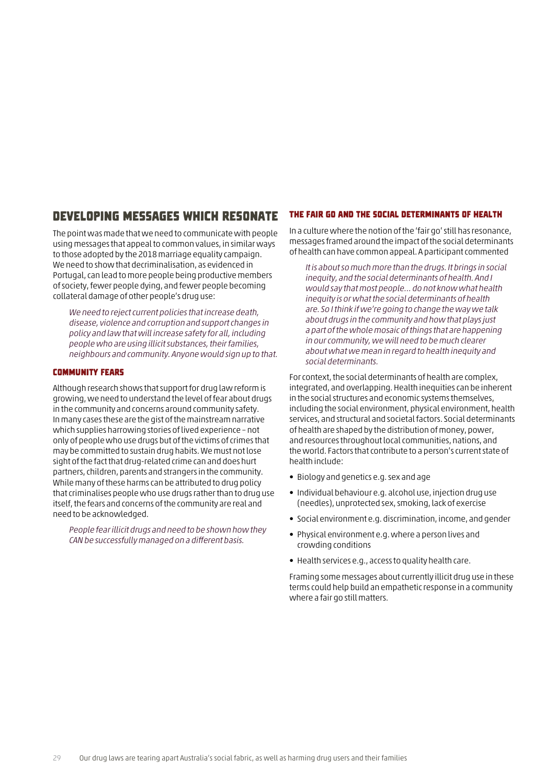### Developing messages which resonate

The point was made that we need to communicate with people using messages that appeal to common values, in similar ways to those adopted by the 2018 marriage equality campaign. We need to show that decriminalisation, as evidenced in Portugal, can lead to more people being productive members of society, fewer people dying, and fewer people becoming collateral damage of other people's drug use:

We need to reject current policies that increase death, disease, violence and corruption and support changes in policy and law that will increase safety for all, including people who are using illicit substances, their families, neighbours and community. Anyone would sign up to that.

#### Community fears

Although research shows that support for drug law reform is growing, we need to understand the level of fear about drugs in the community and concerns around community safety. In many cases these are the gist of the mainstream narrative which supplies harrowing stories of lived experience – not only of people who use drugs but of the victims of crimes that may be committed to sustain drug habits. We must not lose sight of the fact that drug-related crime can and does hurt partners, children, parents and strangers in the community. While many of these harms can be attributed to drug policy that criminalises people who use drugs rather than to drug use itself, the fears and concerns of the community are real and need to be acknowledged.

People fear illicit drugs and need to be shown how they CAN be successfully managed on a different basis.

#### The fair go and the social determinants of health

In a culture where the notion of the 'fair go' still has resonance, messages framed around the impact of the social determinants of health can have common appeal. A participant commented

It is about so much more than the drugs. It brings in social inequity, and the social determinants of health. And I would say that most people… do not know what health inequity is or what the social determinants of health are. So I think if we're going to change the way we talk about drugs in the community and how that plays just a part of the whole mosaic of things that are happening in our community, we will need to be much clearer about what we mean in regard to health inequity and social determinants.

For context, the social determinants of health are complex, integrated, and overlapping. Health inequities can be inherent in the social structures and economic systems themselves, including the social environment, physical environment, health services, and structural and societal factors. Social determinants of health are shaped by the distribution of money, power, and resources throughout local communities, nations, and the world. Factors that contribute to a person's current state of health include:

- Biology and genetics e.g. sex and age
- Individual behaviour e.g. alcohol use, injection drug use (needles), unprotected sex, smoking, lack of exercise
- Social environment e.g. discrimination, income, and gender
- Physical environment e.g. where a person lives and crowding conditions
- Health services e.g., access to quality health care.

Framing some messages about currently illicit drug use in these terms could help build an empathetic response in a community where a fair go still matters.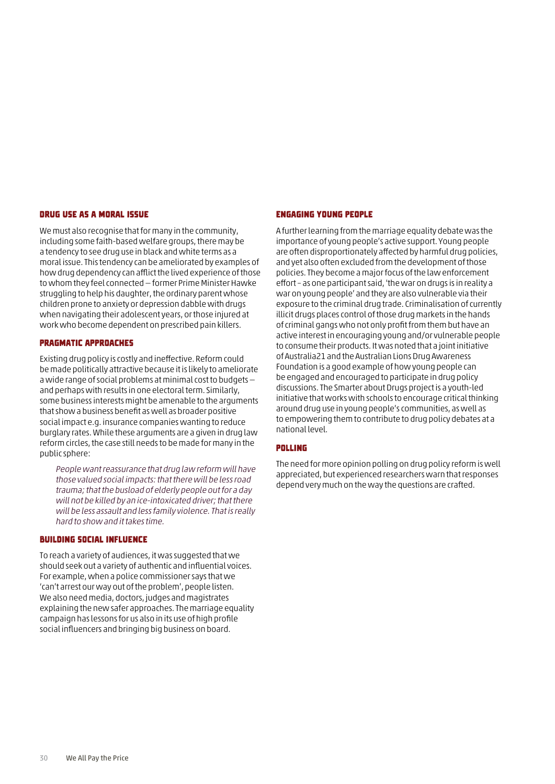#### Drug use as a moral issue

We must also recognise that for many in the community, including some faith-based welfare groups, there may be a tendency to see drug use in black and white terms as a moral issue. This tendency can be ameliorated by examples of how drug dependency can afflict the lived experience of those to whom they feel connected — former Prime Minister Hawke struggling to help his daughter, the ordinary parent whose children prone to anxiety or depression dabble with drugs when navigating their adolescent years, or those injured at work who become dependent on prescribed pain killers.

#### Pragmatic approaches

Existing drug policy is costly and ineffective. Reform could be made politically attractive because it is likely to ameliorate a wide range of social problems at minimal cost to budgets and perhaps with results in one electoral term. Similarly, some business interests might be amenable to the arguments that show a business benefit as well as broader positive social impact e.g. insurance companies wanting to reduce burglary rates. While these arguments are a given in drug law reform circles, the case still needs to be made for many in the public sphere:

People want reassurance that drug law reform will have those valued social impacts: that there will be less road trauma; that the busload of elderly people out for a day will not be killed by an ice-intoxicated driver; that there will be less assault and less family violence. That is really hard to show and it takes time.

#### Building social influence

To reach a variety of audiences, it was suggested that we should seek out a variety of authentic and influential voices. For example, when a police commissioner says that we 'can't arrest our way out of the problem', people listen. We also need media, doctors, judges and magistrates explaining the new safer approaches. The marriage equality campaign has lessons for us also in its use of high profile social influencers and bringing big business on board.

#### Engaging young people

A further learning from the marriage equality debate was the importance of young people's active support. Young people are often disproportionately affected by harmful drug policies, and yet also often excluded from the development of those policies. They become a major focus of the law enforcement effort – as one participant said, 'the war on drugs is in reality a war on young people' and they are also vulnerable via their exposure to the criminal drug trade. Criminalisation of currently illicit drugs places control of those drug markets in the hands of criminal gangs who not only profit from them but have an active interest in encouraging young and/or vulnerable people to consume their products. It was noted that a joint initiative of Australia21 and the Australian Lions Drug Awareness Foundation is a good example of how young people can be engaged and encouraged to participate in drug policy discussions. The Smarter about Drugs project is a youth-led initiative that works with schools to encourage critical thinking around drug use in young people's communities, as well as to empowering them to contribute to drug policy debates at a national level.

#### Polling

The need for more opinion polling on drug policy reform is well appreciated, but experienced researchers warn that responses depend very much on the way the questions are crafted.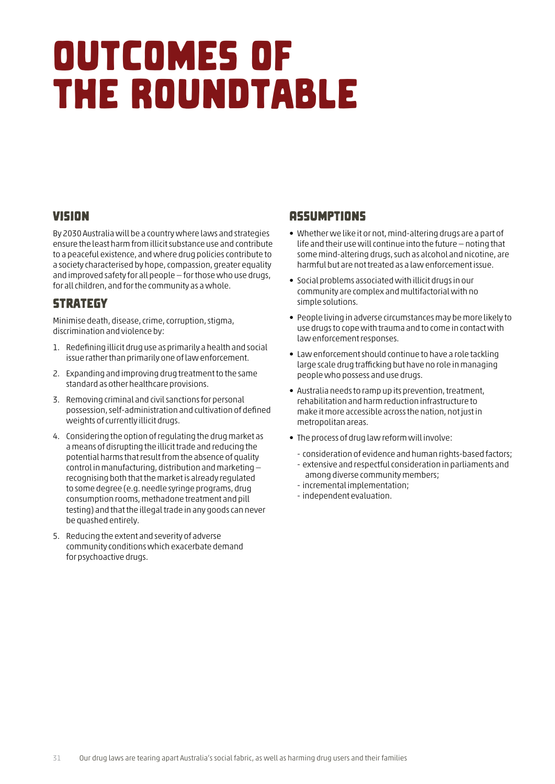## <span id="page-32-0"></span>Outcomes of the Roundtable

## Vision

By 2030 Australia will be a country where laws and strategies ensure the least harm from illicit substance use and contribute to a peaceful existence, and where drug policies contribute to a society characterised by hope, compassion, greater equality and improved safety for all people — for those who use drugs, for all children, and for the community as a whole.

## **STRATEGY**

Minimise death, disease, crime, corruption, stigma, discrimination and violence by:

- 1. Redefining illicit drug use as primarily a health and social issue rather than primarily one of law enforcement.
- 2. Expanding and improving drug treatment to the same standard as other healthcare provisions.
- 3. Removing criminal and civil sanctions for personal possession, self-administration and cultivation of defined weights of currently illicit drugs.
- 4. Considering the option of regulating the drug market as a means of disrupting the illicit trade and reducing the potential harms that result from the absence of quality control in manufacturing, distribution and marketing recognising both that the market is already regulated to some degree (e.g. needle syringe programs, drug consumption rooms, methadone treatment and pill testing) and that the illegal trade in any goods can never be quashed entirely.
- 5. Reducing the extent and severity of adverse community conditions which exacerbate demand for psychoactive drugs.

## **ASSUMPTIONS**

- Whether we like it or not, mind-altering drugs are a part of life and their use will continue into the future — noting that some mind-altering drugs, such as alcohol and nicotine, are harmful but are not treated as a law enforcement issue.
- Social problems associated with illicit drugs in our community are complex and multifactorial with no simple solutions.
- People living in adverse circumstances may be more likely to use drugs to cope with trauma and to come in contact with law enforcement responses.
- Law enforcement should continue to have a role tackling large scale drug trafficking but have no role in managing people who possess and use drugs.
- Australia needs to ramp up its prevention, treatment, rehabilitation and harm reduction infrastructure to make it more accessible across the nation, not just in metropolitan areas.
- The process of drug law reform will involve:
	- consideration of evidence and human rights-based factors;
	- extensive and respectful consideration in parliaments and among diverse community members;
	- incremental implementation;
	- independent evaluation.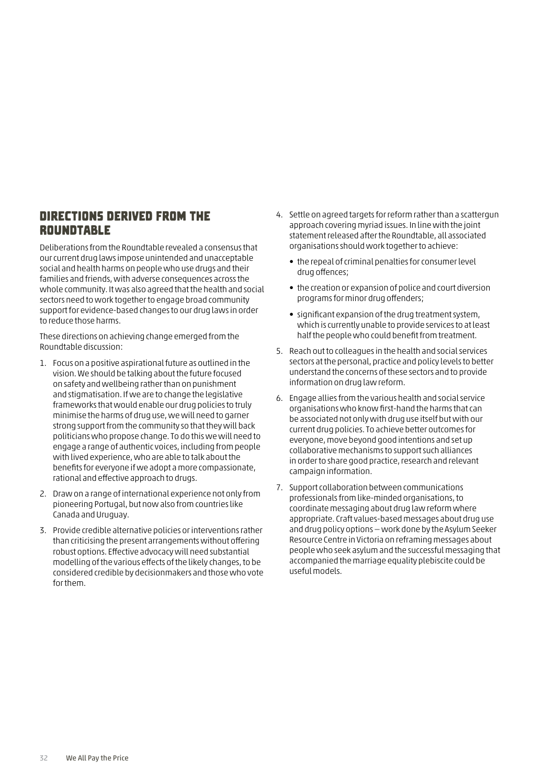### Directions derived from the **ROUNDTABLE**

Deliberations from the Roundtable revealed a consensus that our current drug laws impose unintended and unacceptable social and health harms on people who use drugs and their families and friends, with adverse consequences across the whole community. It was also agreed that the health and social sectors need to work together to engage broad community support for evidence-based changes to our drug laws in order to reduce those harms.

These directions on achieving change emerged from the Roundtable discussion:

- 1. Focus on a positive aspirational future as outlined in the vision. We should be talking about the future focused on safety and wellbeing rather than on punishment and stigmatisation. If we are to change the legislative frameworks that would enable our drug policies to truly minimise the harms of drug use, we will need to garner strong support from the community so that they will back politicians who propose change. To do this we will need to engage a range of authentic voices, including from people with lived experience, who are able to talk about the benefits for everyone if we adopt a more compassionate, rational and effective approach to drugs.
- 2. Draw on a range of international experience not only from pioneering Portugal, but now also from countries like Canada and Uruguay.
- 3. Provide credible alternative policies or interventions rather than criticising the present arrangements without offering robust options. Effective advocacy will need substantial modelling of the various effects of the likely changes, to be considered credible by decisionmakers and those who vote for them.
- 4. Settle on agreed targets for reform rather than a scattergun approach covering myriad issues. In line with the joint statement released after the Roundtable, all associated organisations should work together to achieve:
	- the repeal of criminal penalties for consumer level drug offences;
	- the creation or expansion of police and court diversion programs for minor drug offenders;
	- significant expansion of the drug treatment system, which is currently unable to provide services to at least half the people who could benefit from treatment.
- 5. Reach out to colleagues in the health and social services sectors at the personal, practice and policy levels to better understand the concerns of these sectors and to provide information on drug law reform.
- 6. Engage allies from the various health and social service organisations who know first-hand the harms that can be associated not only with drug use itself but with our current drug policies. To achieve better outcomes for everyone, move beyond good intentions and set up collaborative mechanisms to support such alliances in order to share good practice, research and relevant campaign information.
- 7. Support collaboration between communications professionals from like-minded organisations, to coordinate messaging about drug law reform where appropriate. Craft values-based messages about drug use and drug policy options — work done by the Asylum Seeker Resource Centre in Victoria on reframing messages about people who seek asylum and the successful messaging that accompanied the marriage equality plebiscite could be useful models.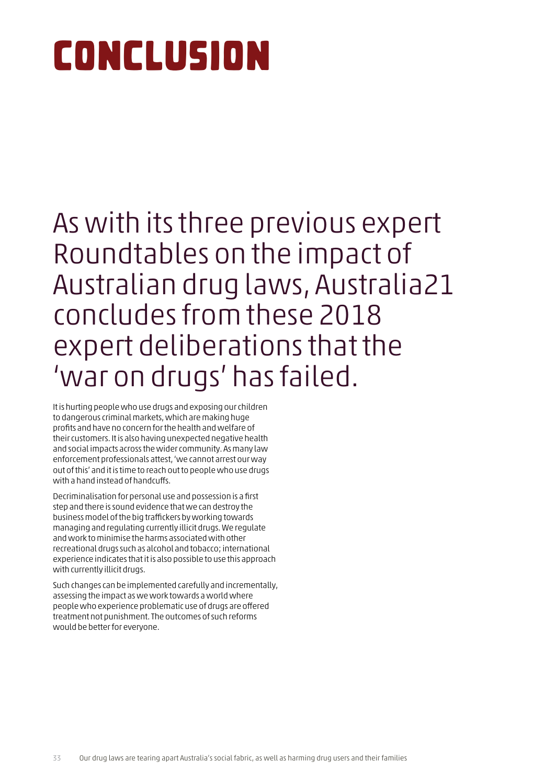# <span id="page-34-0"></span>Conclusion

## As with its three previous expert Roundtables on the impact of Australian drug laws, Australia21 concludes from these 2018 expert deliberations that the 'war on drugs' has failed.

It is hurting people who use drugs and exposing our children to dangerous criminal markets, which are making huge profits and have no concern for the health and welfare of their customers. It is also having unexpected negative health and social impacts across the wider community. As many law enforcement professionals attest, 'we cannot arrest our way out of this' and it is time to reach out to people who use drugs with a hand instead of handcuffs.

Decriminalisation for personal use and possession is a first step and there is sound evidence that we can destroy the business model of the big traffickers by working towards managing and regulating currently illicit drugs. We regulate and work to minimise the harms associated with other recreational drugs such as alcohol and tobacco; international experience indicates that it is also possible to use this approach with currently illicit drugs.

Such changes can be implemented carefully and incrementally, assessing the impact as we work towards a world where people who experience problematic use of drugs are offered treatment not punishment. The outcomes of such reforms would be better for everyone.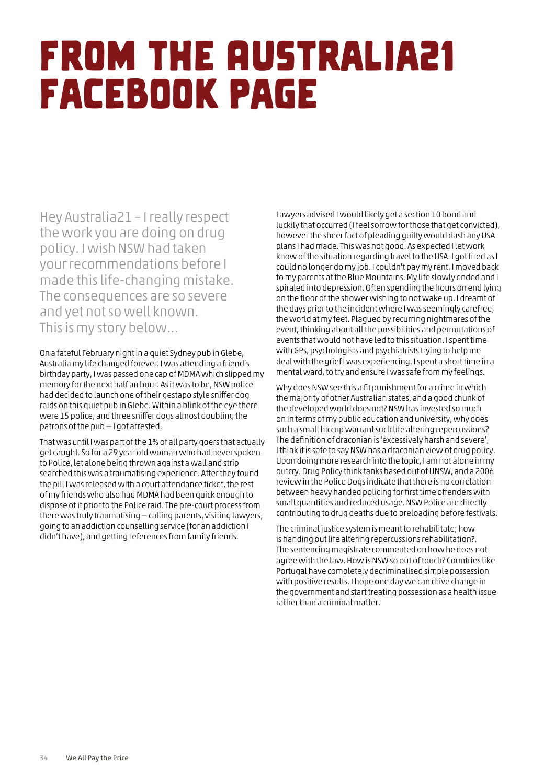## <span id="page-35-0"></span>From the Australia21 Facebook page

Hey Australia21 – I really respect the work you are doing on drug policy. I wish NSW had taken your recommendations before I made this life-changing mistake. The consequences are so severe and yet not so well known. This is my story below...

On a fateful February night in a quiet Sydney pub in Glebe, Australia my life changed forever. I was attending a friend's birthday party, I was passed one cap of MDMA which slipped my memory for the next half an hour. As it was to be, NSW police had decided to launch one of their gestapo style sniffer dog raids on this quiet pub in Glebe. Within a blink of the eye there were 15 police, and three sniffer dogs almost doubling the patrons of the pub — I got arrested.

That was until I was part of the 1% of all party goers that actually get caught. So for a 29 year old woman who had never spoken to Police, let alone being thrown against a wall and strip searched this was a traumatising experience. After they found the pill I was released with a court attendance ticket, the rest of my friends who also had MDMA had been quick enough to dispose of it prior to the Police raid. The pre-court process from there was truly traumatising — calling parents, visiting lawyers, going to an addiction counselling service (for an addiction I didn't have), and getting references from family friends.

Lawyers advised I would likely get a section 10 bond and luckily that occurred (I feel sorrow for those that get convicted), however the sheer fact of pleading guilty would dash any USA plans I had made. This was not good. As expected I let work know of the situation regarding travel to the USA. I got fired as I could no longer do my job. I couldn't pay my rent, I moved back to my parents at the Blue Mountains. My life slowly ended and I spiraled into depression. Often spending the hours on end lying on the floor of the shower wishing to not wake up. I dreamt of the days prior to the incident where I was seemingly carefree, the world at my feet. Plagued by recurring nightmares of the event, thinking about all the possibilities and permutations of events that would not have led to this situation. I spent time with GPs, psychologists and psychiatrists trying to help me deal with the grief I was experiencing. I spent a short time in a mental ward, to try and ensure I was safe from my feelings.

Why does NSW see this a fit punishment for a crime in which the majority of other Australian states, and a good chunk of the developed world does not? NSW has invested so much on in terms of my public education and university, why does such a small hiccup warrant such life altering repercussions? The definition of draconian is 'excessively harsh and severe', I think it is safe to say NSW has a draconian view of drug policy. Upon doing more research into the topic, I am not alone in my outcry. Drug Policy think tanks based out of UNSW, and a 2006 review in the Police Dogs indicate that there is no correlation between heavy handed policing for first time offenders with small quantities and reduced usage. NSW Police are directly contributing to drug deaths due to preloading before festivals.

The criminal justice system is meant to rehabilitate; how is handing out life altering repercussions rehabilitation?. The sentencing magistrate commented on how he does not agree with the law. How is NSW so out of touch? Countries like Portugal have completely decriminalised simple possession with positive results. I hope one day we can drive change in the government and start treating possession as a health issue rather than a criminal matter.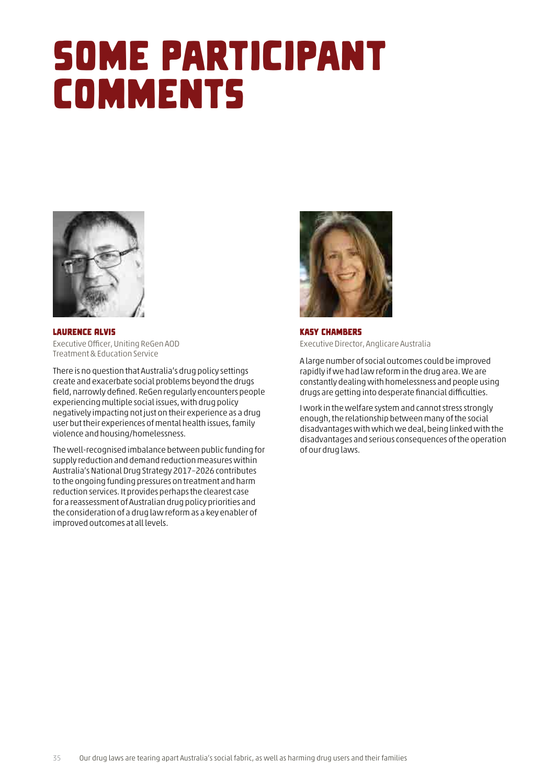## <span id="page-36-0"></span>Some Participant **COMMENTS**



Laurence Alvis Executive Officer, Uniting ReGen AOD Treatment & Education Service

There is no question that Australia's drug policy settings create and exacerbate social problems beyond the drugs field, narrowly defined. ReGen regularly encounters people experiencing multiple social issues, with drug policy negatively impacting not just on their experience as a drug user but their experiences of mental health issues, family violence and housing/homelessness.

The well-recognised imbalance between public funding for supply reduction and demand reduction measures within Australia's National Drug Strategy 2017–2026 contributes to the ongoing funding pressures on treatment and harm reduction services. It provides perhaps the clearest case for a reassessment of Australian drug policy priorities and the consideration of a drug law reform as a key enabler of improved outcomes at all levels.



Kasy Chambers Executive Director, Anglicare Australia

A large number of social outcomes could be improved rapidly if we had law reform in the drug area. We are constantly dealing with homelessness and people using drugs are getting into desperate financial difficulties.

I work in the welfare system and cannot stress strongly enough, the relationship between many of the social disadvantages with which we deal, being linked with the disadvantages and serious consequences of the operation of our drug laws.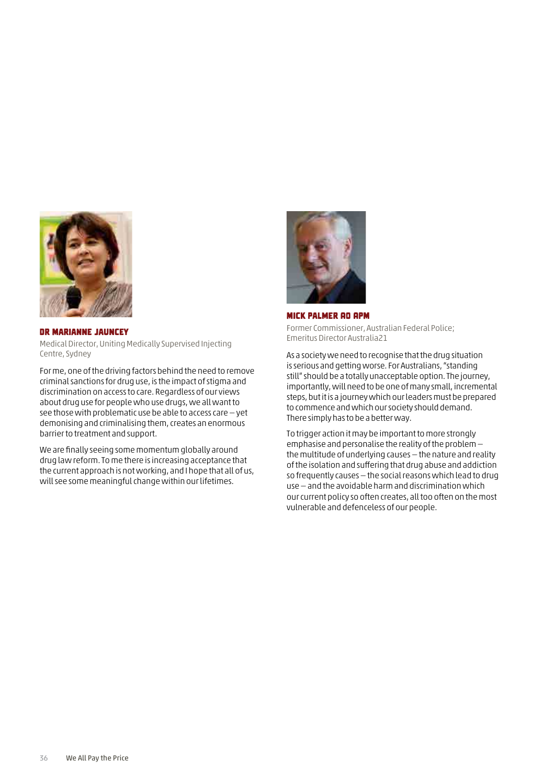<span id="page-37-0"></span>

#### Dr Marianne Jauncey

Medical Director, Uniting Medically Supervised Injecting Centre, Sydney

For me, one of the driving factors behind the need to remove criminal sanctions for drug use, is the impact of stigma and discrimination on access to care. Regardless of our views about drug use for people who use drugs, we all want to see those with problematic use be able to access care — yet demonising and criminalising them, creates an enormous barrier to treatment and support.

We are finally seeing some momentum globally around drug law reform. To me there is increasing acceptance that the current approach is not working, and I hope that all of us, will see some meaningful change within our lifetimes.



#### Mick Palmer AO APM

Former Commissioner, Australian Federal Police; Emeritus Director Australia21

As a society we need to recognise that the drug situation is serious and getting worse. For Australians, "standing still" should be a totally unacceptable option. The journey, importantly, will need to be one of many small, incremental steps, but it is a journey which our leaders must be prepared to commence and which our society should demand. There simply has to be a better way.

To trigger action it may be important to more strongly emphasise and personalise the reality of the problem the multitude of underlying causes — the nature and reality of the isolation and suffering that drug abuse and addiction so frequently causes — the social reasons which lead to drug use — and the avoidable harm and discrimination which our current policy so often creates, all too often on the most vulnerable and defenceless of our people.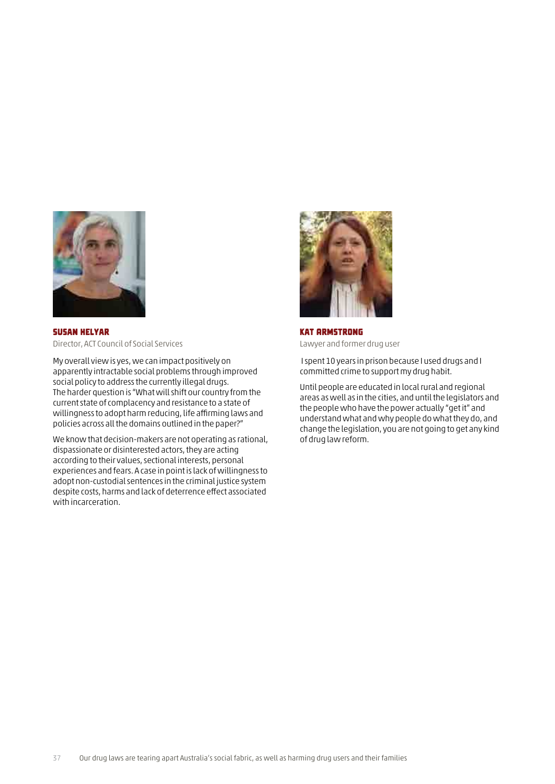<span id="page-38-0"></span>

Susan Helyar Director, ACT Council of Social Services

My overall view is yes, we can impact positively on apparently intractable social problems through improved social policy to address the currently illegal drugs. The harder question is "What will shift our country from the current state of complacency and resistance to a state of willingness to adopt harm reducing, life affirming laws and policies across all the domains outlined in the paper?"

We know that decision-makers are not operating as rational, dispassionate or disinterested actors, they are acting according to their values, sectional interests, personal experiences and fears. A case in point is lack of willingness to adopt non-custodial sentences in the criminal justice system despite costs, harms and lack of deterrence effect associated with incarceration.



Kat Armstrong Lawyer and former drug user

 I spent 10 years in prison because I used drugs and I committed crime to support my drug habit.

Until people are educated in local rural and regional areas as well as in the cities, and until the legislators and the people who have the power actually "get it" and understand what and why people do what they do, and change the legislation, you are not going to get any kind of drug law reform.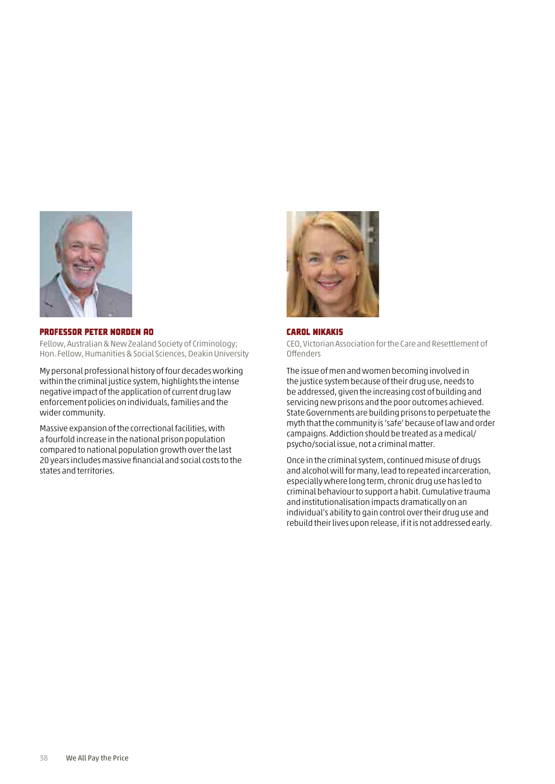<span id="page-39-0"></span>

#### Professor Peter Norden AO

Fellow, Australian & New Zealand Society of Criminology; Hon. Fellow, Humanities & Social Sciences, Deakin University

My personal professional history of four decades working within the criminal justice system, highlights the intense negative impact of the application of current drug law enforcement policies on individuals, families and the wider community.

Massive expansion of the correctional facilities, with a fourfold increase in the national prison population compared to national population growth over the last 20 years includes massive financial and social costs to the states and territories.



#### Carol Nikakis CEO, Victorian Association for the Care and Resettlement of Offenders

The issue of men and women becoming involved in the justice system because of their drug use, needs to be addressed, given the increasing cost of building and servicing new prisons and the poor outcomes achieved. State Governments are building prisons to perpetuate the myth that the community is 'safe' because of law and order campaigns. Addiction should be treated as a medical/ psycho/social issue, not a criminal matter.

Once in the criminal system, continued misuse of drugs and alcohol will for many, lead to repeated incarceration, especially where long term, chronic drug use has led to criminal behaviour to support a habit. Cumulative trauma and institutionalisation impacts dramatically on an individual's ability to gain control over their drug use and rebuild their lives upon release, if it is not addressed early.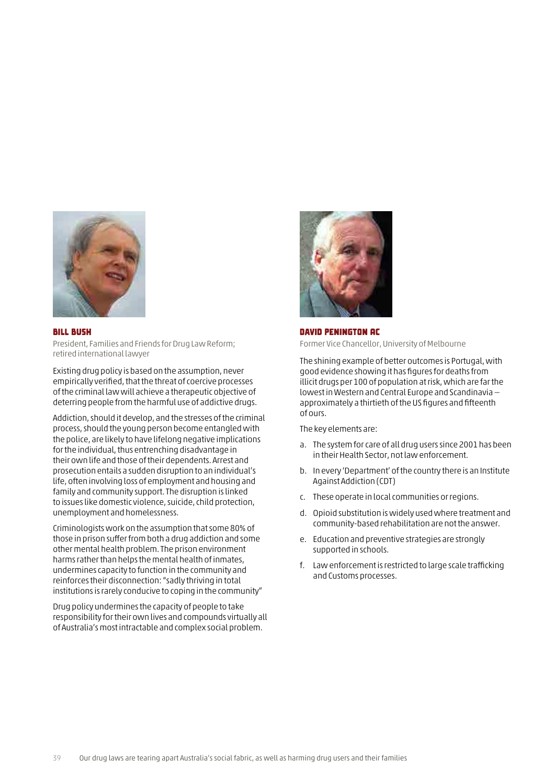<span id="page-40-0"></span>

#### Bill Bush

President, Families and Friends for Drug Law Reform; retired international lawyer

Existing drug policy is based on the assumption, never empirically verified, that the threat of coercive processes of the criminal law will achieve a therapeutic objective of deterring people from the harmful use of addictive drugs.

Addiction, should it develop, and the stresses of the criminal process, should the young person become entangled with the police, are likely to have lifelong negative implications for the individual, thus entrenching disadvantage in their own life and those of their dependents. Arrest and prosecution entails a sudden disruption to an individual's life, often involving loss of employment and housing and family and community support. The disruption is linked to issues like domestic violence, suicide, child protection, unemployment and homelessness.

Criminologists work on the assumption that some 80% of those in prison suffer from both a drug addiction and some other mental health problem. The prison environment harms rather than helps the mental health of inmates, undermines capacity to function in the community and reinforces their disconnection: "sadly thriving in total institutions is rarely conducive to coping in the community"

Drug policy undermines the capacity of people to take responsibility for their own lives and compounds virtually all of Australia's most intractable and complex social problem.



#### David Penington AC Former Vice Chancellor, University of Melbourne

The shining example of better outcomes is Portugal, with good evidence showing it has figures for deaths from illicit drugs per 100 of population at risk, which are far the lowest in Western and Central Europe and Scandinavia approximately a thirtieth of the US figures and fifteenth of ours.

The key elements are:

- a. The system for care of all drug users since 2001 has been in their Health Sector, not law enforcement.
- b. In every 'Department' of the country there is an Institute Against Addiction (CDT)
- c. These operate in local communities or regions.
- d. Opioid substitution is widely used where treatment and community-based rehabilitation are not the answer.
- e. Education and preventive strategies are strongly supported in schools.
- f. Law enforcement is restricted to large scale trafficking and Customs processes.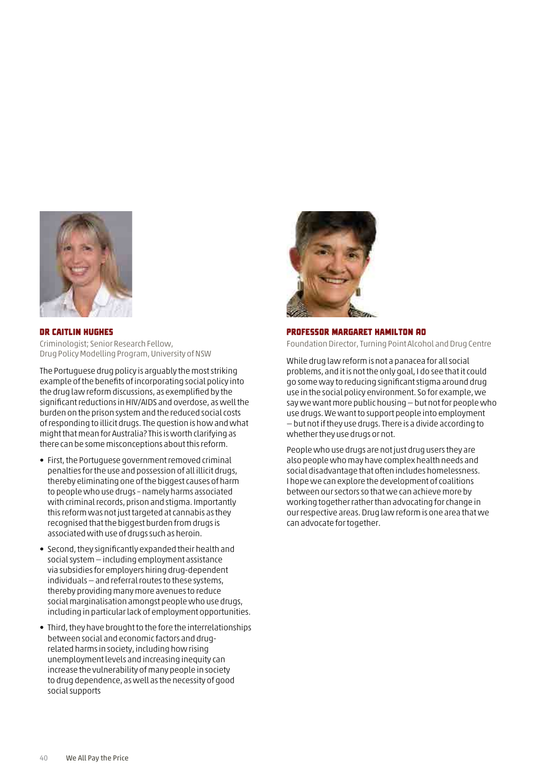<span id="page-41-0"></span>

#### Dr Caitlin Hughes

Criminologist; Senior Research Fellow, Drug Policy Modelling Program, University of NSW

The Portuguese drug policy is arguably the most striking example of the benefits of incorporating social policy into the drug law reform discussions, as exemplified by the significant reductions in HIV/AIDS and overdose, as well the burden on the prison system and the reduced social costs of responding to illicit drugs. The question is how and what might that mean for Australia? This is worth clarifying as there can be some misconceptions about this reform.

- First, the Portuguese government removed criminal penalties for the use and possession of all illicit drugs, thereby eliminating one of the biggest causes of harm to people who use drugs – namely harms associated with criminal records, prison and stigma. Importantly this reform was not just targeted at cannabis as they recognised that the biggest burden from drugs is associated with use of drugs such as heroin.
- Second, they significantly expanded their health and social system — including employment assistance via subsidies for employers hiring drug-dependent individuals — and referral routes to these systems, thereby providing many more avenues to reduce social marginalisation amongst people who use drugs, including in particular lack of employment opportunities.
- Third, they have brought to the fore the interrelationships between social and economic factors and drugrelated harms in society, including how rising unemployment levels and increasing inequity can increase the vulnerability of many people in society to drug dependence, as well as the necessity of good social supports



#### Professor Margaret Hamilton AO

Foundation Director, Turning Point Alcohol and Drug Centre

While drug law reform is not a panacea for all social problems, and it is not the only goal, I do see that it could go some way to reducing significant stigma around drug use in the social policy environment. So for example, we say we want more public housing — but not for people who use drugs. We want to support people into employment — but not if they use drugs. There is a divide according to whether they use drugs or not.

People who use drugs are not just drug users they are also people who may have complex health needs and social disadvantage that often includes homelessness. I hope we can explore the development of coalitions between our sectors so that we can achieve more by working together rather than advocating for change in our respective areas. Drug law reform is one area that we can advocate for together.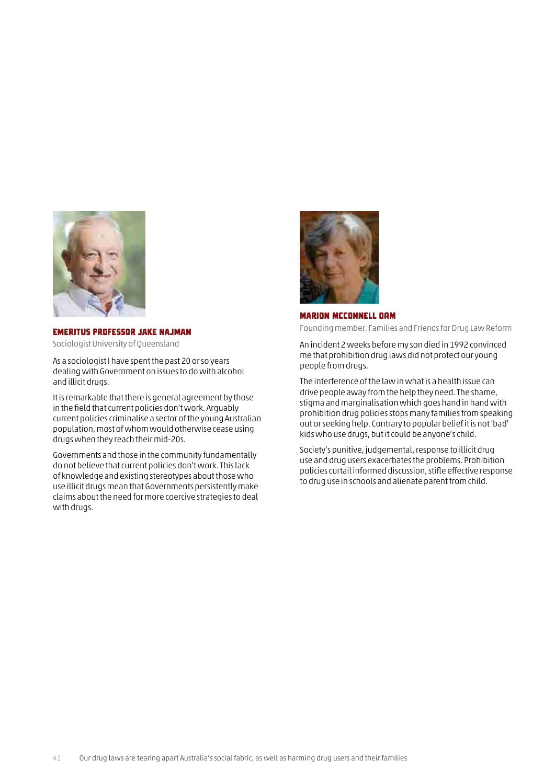<span id="page-42-0"></span>

#### Emeritus Professor Jake Najman

Sociologist University of Queensland

As a sociologist I have spent the past 20 or so years dealing with Government on issues to do with alcohol and illicit drugs.

It is remarkable that there is general agreement by those in the field that current policies don't work. Arguably current policies criminalise a sector of the young Australian population, most of whom would otherwise cease using drugs when they reach their mid-20s.

Governments and those in the community fundamentally do not believe that current policies don't work. This lack of knowledge and existing stereotypes about those who use illicit drugs mean that Governments persistently make claims about the need for more coercive strategies to deal with drugs.



Marion McConnell OAM

Founding member, Families and Friends for Drug Law Reform

An incident 2 weeks before my son died in 1992 convinced me that prohibition drug laws did not protect our young people from drugs.

The interference of the law in what is a health issue can drive people away from the help they need. The shame, stigma and marginalisation which goes hand in hand with prohibition drug policies stops many families from speaking out or seeking help. Contrary to popular belief it is not 'bad' kids who use drugs, but it could be anyone's child.

Society's punitive, judgemental, response to illicit drug use and drug users exacerbates the problems. Prohibition policies curtail informed discussion, stifle effective response to drug use in schools and alienate parent from child.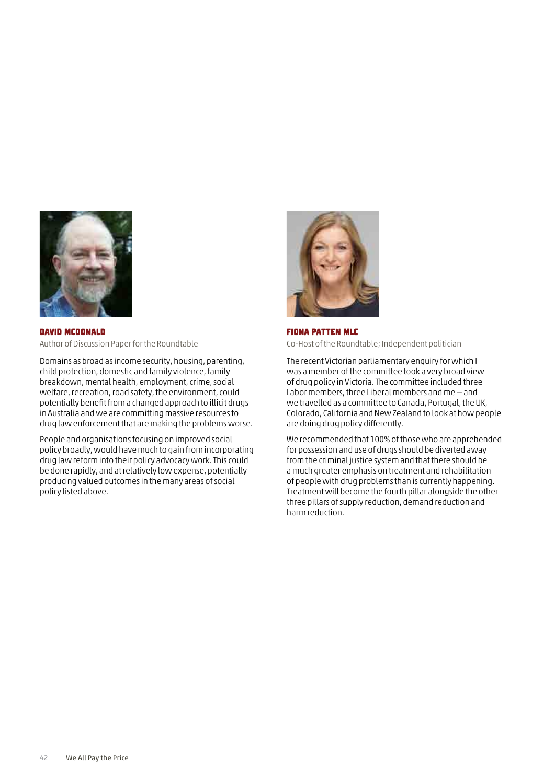<span id="page-43-0"></span>

David McDonald Author of Discussion Paper for the Roundtable

Domains as broad as income security, housing, parenting, child protection, domestic and family violence, family breakdown, mental health, employment, crime, social welfare, recreation, road safety, the environment, could potentially benefit from a changed approach to illicit drugs in Australia and we are committing massive resources to drug law enforcement that are making the problems worse.

People and organisations focusing on improved social policy broadly, would have much to gain from incorporating drug law reform into their policy advocacy work. This could be done rapidly, and at relatively low expense, potentially producing valued outcomes in the many areas of social policy listed above.



Fiona Patten MLC Co-Host of the Roundtable; Independent politician

The recent Victorian parliamentary enquiry for which I was a member of the committee took a very broad view of drug policy in Victoria. The committee included three Labor members, three Liberal members and me — and we travelled as a committee to Canada, Portugal, the UK, Colorado, California and New Zealand to look at how people are doing drug policy differently.

We recommended that 100% of those who are apprehended for possession and use of drugs should be diverted away from the criminal justice system and that there should be a much greater emphasis on treatment and rehabilitation of people with drug problems than is currently happening. Treatment will become the fourth pillar alongside the other three pillars of supply reduction, demand reduction and harm reduction.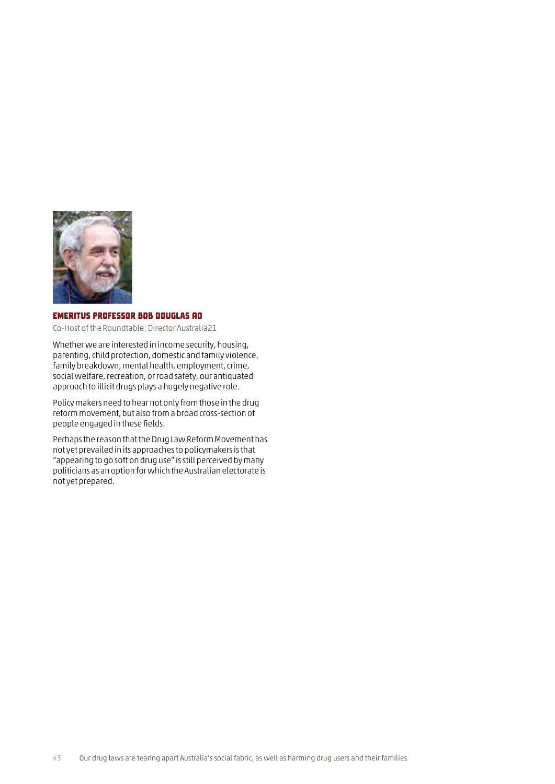<span id="page-44-0"></span>

#### Emeritus Professor Bob Douglas AO

Co-Host of the Roundtable; Director Australia21

Whether we are interested in income security, housing, parenting, child protection, domestic and family violence, family breakdown, mental health, employment, crime, social welfare, recreation, or road safety, our antiquated approach to illicit drugs plays a hugely negative role.

Policy makers need to hear not only from those in the drug reform movement, but also from a broad cross-section of people engaged in these fields.

Perhaps the reason that the Drug Law Reform Movement has not yet prevailed in its approaches to policymakers is that "appearing to go soft on drug use" is still perceived by many politicians as an option for which the Australian electorate is not yet prepared.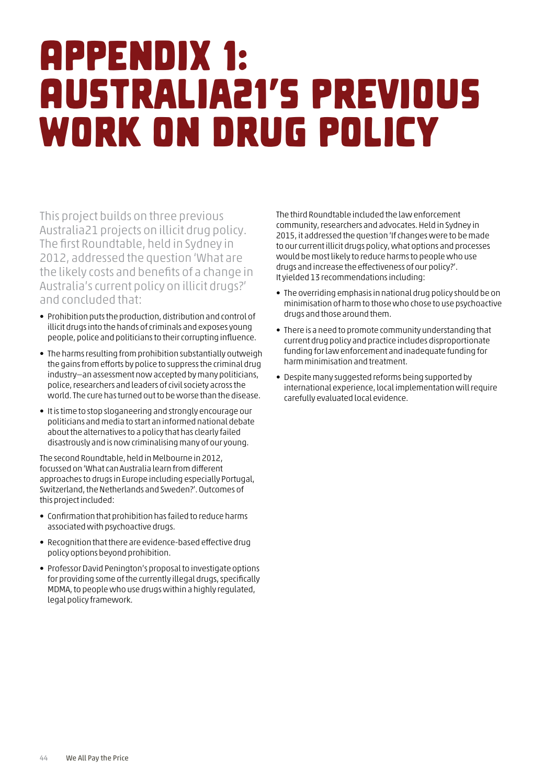## <span id="page-45-0"></span>Appendix 1: Australia21's previous work on drug policy

This project builds on three previous Australia21 projects on illicit drug policy. The first Roundtable, held in Sydney in 2012, addressed the question 'What are the likely costs and benefits of a change in Australia's current policy on illicit drugs?' and concluded that:

- Prohibition puts the production, distribution and control of illicit drugs into the hands of criminals and exposes young people, police and politicians to their corrupting influence.
- The harms resulting from prohibition substantially outweigh the gains from efforts by police to suppress the criminal drug industry—an assessment now accepted by many politicians, police, researchers and leaders of civil society across the world. The cure has turned out to be worse than the disease.
- It is time to stop sloganeering and strongly encourage our politicians and media to start an informed national debate about the alternatives to a policy that has clearly failed disastrously and is now criminalising many of our young.

The second Roundtable, held in Melbourne in 2012, focussed on 'What can Australia learn from different approaches to drugs in Europe including especially Portugal, Switzerland, the Netherlands and Sweden?'. Outcomes of this project included:

- Confirmation that prohibition has failed to reduce harms associated with psychoactive drugs.
- Recognition that there are evidence-based effective drug policy options beyond prohibition.
- Professor David Penington's proposal to investigate options for providing some of the currently illegal drugs, specifically MDMA, to people who use drugs within a highly regulated, legal policy framework.

The third Roundtable included the law enforcement community, researchers and advocates. Held in Sydney in 2015, it addressed the question 'If changes were to be made to our current illicit drugs policy, what options and processes would be most likely to reduce harms to people who use drugs and increase the effectiveness of our policy?'. It yielded 13 recommendations including:

- The overriding emphasis in national drug policy should be on minimisation of harm to those who chose to use psychoactive drugs and those around them.
- There is a need to promote community understanding that current drug policy and practice includes disproportionate funding for law enforcement and inadequate funding for harm minimisation and treatment.
- Despite many suggested reforms being supported by international experience, local implementation will require carefully evaluated local evidence.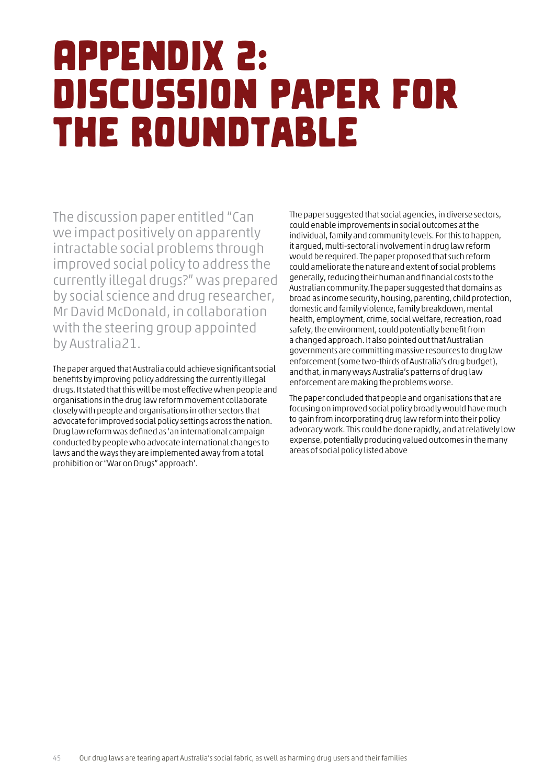## <span id="page-46-0"></span>Appendix 2: Discussion paper for the Roundtable

The discussion paper entitled "Can we impact positively on apparently intractable social problems through improved social policy to address the currently illegal drugs?" was prepared by social science and drug researcher, Mr David McDonald, in collaboration with the steering group appointed by Australia21.

The paper argued that Australia could achieve significant social benefits by improving policy addressing the currently illegal drugs. It stated that this will be most effective when people and organisations in the drug law reform movement collaborate closely with people and organisations in other sectors that advocate for improved social policy settings across the nation. Drug law reform was defined as 'an international campaign conducted by people who advocate international changes to laws and the ways they are implemented away from a total prohibition or "War on Drugs" approach'.

The paper suggested that social agencies, in diverse sectors, could enable improvements in social outcomes at the individual, family and community levels. For this to happen, it argued, multi-sectoral involvement in drug law reform would be required. The paper proposed that such reform could ameliorate the nature and extent of social problems generally, reducing their human and financial costs to the Australian community.The paper suggested that domains as broad as income security, housing, parenting, child protection, domestic and family violence, family breakdown, mental health, employment, crime, social welfare, recreation, road safety, the environment, could potentially benefit from a changed approach. It also pointed out that Australian governments are committing massive resources to drug law enforcement (some two-thirds of Australia's drug budget), and that, in many ways Australia's patterns of drug law enforcement are making the problems worse.

The paper concluded that people and organisations that are focusing on improved social policy broadly would have much to gain from incorporating drug law reform into their policy advocacy work. This could be done rapidly, and at relatively low expense, potentially producing valued outcomes in the many areas of social policy listed above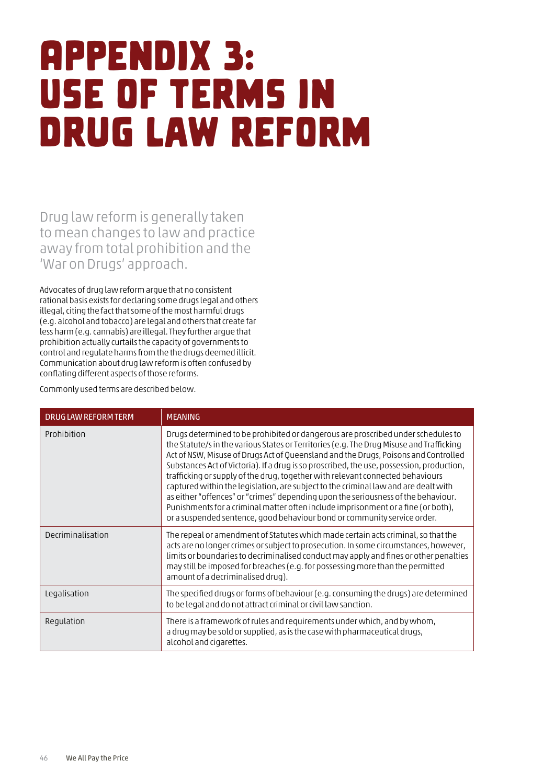## <span id="page-47-0"></span>Appendix 3: Use of terms in drug law reform

Drug law reform is generally taken to mean changes to law and practice away from total prohibition and the 'War on Drugs' approach.

Advocates of drug law reform argue that no consistent rational basis exists for declaring some drugs legal and others illegal, citing the fact that some of the most harmful drugs (e.g. alcohol and tobacco) are legal and others that create far less harm (e.g. cannabis) are illegal. They further argue that prohibition actually curtails the capacity of governments to control and regulate harms from the the drugs deemed illicit. Communication about drug law reform is often confused by conflating different aspects of those reforms.

Commonly used terms are described below.

| <b>DRUG LAW REFORM TERM</b> | <b>MEANING</b>                                                                                                                                                                                                                                                                                                                                                                                                                                                                                                                                                                                                                                                                                                                                                                                  |
|-----------------------------|-------------------------------------------------------------------------------------------------------------------------------------------------------------------------------------------------------------------------------------------------------------------------------------------------------------------------------------------------------------------------------------------------------------------------------------------------------------------------------------------------------------------------------------------------------------------------------------------------------------------------------------------------------------------------------------------------------------------------------------------------------------------------------------------------|
| Prohibition                 | Drugs determined to be prohibited or dangerous are proscribed under schedules to<br>the Statute/s in the various States or Territories (e.g. The Drug Misuse and Trafficking<br>Act of NSW, Misuse of Drugs Act of Queensland and the Drugs, Poisons and Controlled<br>Substances Act of Victoria). If a drug is so proscribed, the use, possession, production,<br>trafficking or supply of the drug, together with relevant connected behaviours<br>captured within the legislation, are subject to the criminal law and are dealt with<br>as either "offences" or "crimes" depending upon the seriousness of the behaviour.<br>Punishments for a criminal matter often include imprisonment or a fine (or both),<br>or a suspended sentence, good behaviour bond or community service order. |
| Decriminalisation           | The repeal or amendment of Statutes which made certain acts criminal, so that the<br>acts are no longer crimes or subject to prosecution. In some circumstances, however,<br>limits or boundaries to decriminalised conduct may apply and fines or other penalties<br>may still be imposed for breaches (e.g. for possessing more than the permitted<br>amount of a decriminalised drug).                                                                                                                                                                                                                                                                                                                                                                                                       |
| Legalisation                | The specified drugs or forms of behaviour (e.g. consuming the drugs) are determined<br>to be legal and do not attract criminal or civil law sanction.                                                                                                                                                                                                                                                                                                                                                                                                                                                                                                                                                                                                                                           |
| Regulation                  | There is a framework of rules and requirements under which, and by whom,<br>a drug may be sold or supplied, as is the case with pharmaceutical drugs,<br>alcohol and cigarettes.                                                                                                                                                                                                                                                                                                                                                                                                                                                                                                                                                                                                                |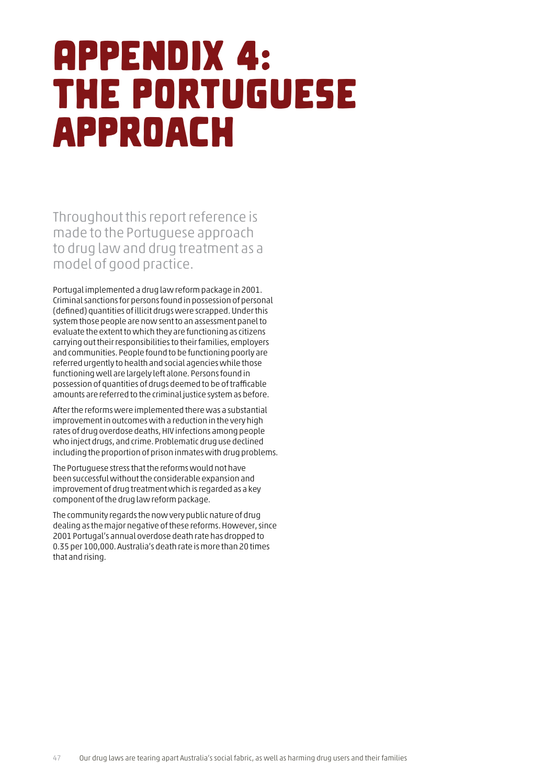## <span id="page-48-0"></span>Appendix 4: The Portuguese approach

Throughout this report reference is made to the Portuguese approach to drug law and drug treatment as a model of good practice.

Portugal implemented a drug law reform package in 2001. Criminal sanctions for persons found in possession of personal (defined) quantities of illicit drugs were scrapped. Under this system those people are now sent to an assessment panel to evaluate the extent to which they are functioning as citizens carrying out their responsibilities to their families, employers and communities. People found to be functioning poorly are referred urgently to health and social agencies while those functioning well are largely left alone. Persons found in possession of quantities of drugs deemed to be of trafficable amounts are referred to the criminal justice system as before.

After the reforms were implemented there was a substantial improvement in outcomes with a reduction in the very high rates of drug overdose deaths, HIV infections among people who inject drugs, and crime. Problematic drug use declined including the proportion of prison inmates with drug problems.

The Portuguese stress that the reforms would not have been successful without the considerable expansion and improvement of drug treatment which is regarded as a key component of the drug law reform package.

The community regards the now very public nature of drug dealing as the major negative of these reforms. However, since 2001 Portugal's annual overdose death rate has dropped to 0.35 per 100,000. Australia's death rate is more than 20 times that and rising.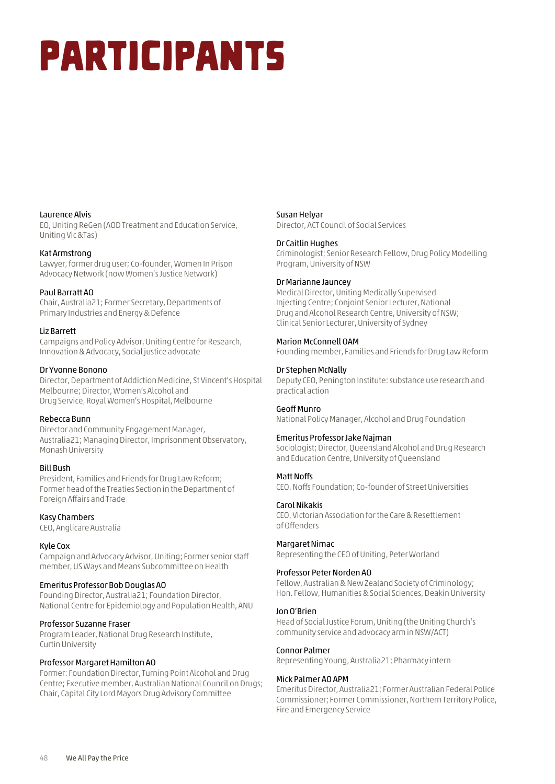# <span id="page-49-0"></span>Participants

#### Laurence Alvis

EO, Uniting ReGen (AOD Treatment and Education Service, Uniting Vic &Tas)

#### Kat Armstrong

Lawyer, former drug user; Co-founder, Women In Prison Advocacy Network (now Women's Justice Network)

#### Paul Barratt AO

Chair, Australia21; Former Secretary, Departments of Primary Industries and Energy & Defence

#### Liz Barrett

Campaigns and Policy Advisor, Uniting Centre for Research, Innovation & Advocacy, Social justice advocate

#### Dr Yvonne Bonono

Director, Department of Addiction Medicine, St Vincent's Hospital Melbourne; Director, Women's Alcohol and Drug Service, Royal Women's Hospital, Melbourne

#### Rebecca Bunn

Director and Community Engagement Manager, Australia21; Managing Director, Imprisonment Observatory, Monash University

#### Bill Bush

President, Families and Friends for Drug Law Reform; Former head of the Treaties Section in the Department of Foreign Affairs and Trade

Kasy Chambers

CEO, Anglicare Australia

#### Kyle Cox

Campaign and Advocacy Advisor, Uniting; Former senior staff member, US Ways and Means Subcommittee on Health

#### Emeritus Professor Bob Douglas AO

Founding Director, Australia21; Foundation Director, National Centre for Epidemiology and Population Health, ANU

#### Professor Suzanne Fraser

Program Leader, National Drug Research Institute, Curtin University

#### Professor Margaret Hamilton AO

Former: Foundation Director, Turning Point Alcohol and Drug Centre; Executive member, Australian National Council on Drugs; Chair, Capital City Lord Mayors Drug Advisory Committee

#### Susan Helyar

Director, ACT Council of Social Services

#### Dr Caitlin Hughes

Criminologist; Senior Research Fellow, Drug Policy Modelling Program, University of NSW

#### Dr Marianne Jauncey

Medical Director, Uniting Medically Supervised Injecting Centre; Conjoint Senior Lecturer, National Drug and Alcohol Research Centre, University of NSW; Clinical Senior Lecturer, University of Sydney

#### Marion McConnell OAM

Founding member, Families and Friends for Drug Law Reform

#### Dr Stephen McNally

Deputy CEO, Penington Institute: substance use research and practical action

#### Geoff Munro

National Policy Manager, Alcohol and Drug Foundation

#### Emeritus Professor Jake Najman

Sociologist; Director, Queensland Alcohol and Drug Research and Education Centre, University of Queensland

#### Matt Noffs

CEO, Noffs Foundation; Co-founder of Street Universities

#### Carol Nikakis

CEO, Victorian Association for the Care & Resettlement of Offenders

#### Margaret Nimac

Representing the CEO of Uniting, Peter Worland

#### Professor Peter Norden AO

Fellow, Australian & New Zealand Society of Criminology; Hon. Fellow, Humanities & Social Sciences, Deakin University

#### Jon O'Brien

Head of Social Justice Forum, Uniting (the Uniting Church's community service and advocacy arm in NSW/ACT)

#### Connor Palmer

Representing Young, Australia21; Pharmacy intern

#### Mick Palmer AO APM

Emeritus Director, Australia21; Former Australian Federal Police Commissioner; Former Commissioner, Northern Territory Police, Fire and Emergency Service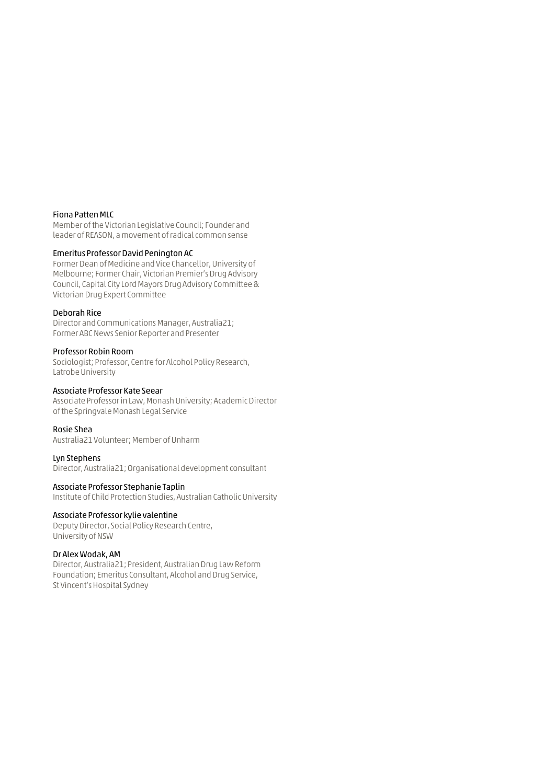#### Fiona Patten MLC

Member of the Victorian Legislative Council; Founder and leader of REASON, a movement of radical common sense

#### Emeritus Professor David Penington AC

Former Dean of Medicine and Vice Chancellor, University of Melbourne; Former Chair, Victorian Premier's Drug Advisory Council, Capital City Lord Mayors Drug Advisory Committee & Victorian Drug Expert Committee

#### Deborah Rice

Director and Communications Manager, Australia21; Former ABC News Senior Reporter and Presenter

#### Professor Robin Room

Sociologist; Professor, Centre for Alcohol Policy Research, Latrobe University

#### Associate Professor Kate Seear

Associate Professor in Law, Monash University; Academic Director of the Springvale Monash Legal Service

#### Rosie Shea

Australia21 Volunteer; Member of Unharm

#### Lyn Stephens

Director, Australia21; Organisational development consultant

#### Associate Professor Stephanie Taplin

Institute of Child Protection Studies, Australian Catholic University

#### Associate Professor kylie valentine

Deputy Director, Social Policy Research Centre, University of NSW

#### Dr Alex Wodak, AM

Director, Australia21; President, Australian Drug Law Reform Foundation; Emeritus Consultant, Alcohol and Drug Service, St Vincent's Hospital Sydney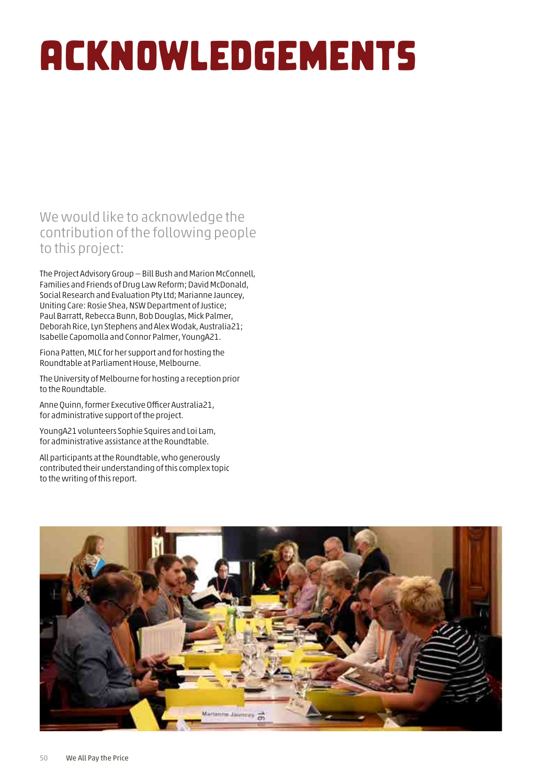# <span id="page-51-0"></span>Acknowledgements

## We would like to acknowledge the contribution of the following people to this project:

The Project Advisory Group — Bill Bush and Marion McConnell, Families and Friends of Drug Law Reform; David McDonald, Social Research and Evaluation Pty Ltd; Marianne Jauncey, Uniting Care: Rosie Shea, NSW Department of Justice; Paul Barratt, Rebecca Bunn, Bob Douglas, Mick Palmer, Deborah Rice, Lyn Stephens and Alex Wodak, Australia21; Isabelle Capomolla and Connor Palmer, YoungA21.

Fiona Patten, MLC for her support and for hosting the Roundtable at Parliament House, Melbourne.

The University of Melbourne for hosting a reception prior to the Roundtable.

Anne Quinn, former Executive Officer Australia21, for administrative support of the project.

YoungA21 volunteers Sophie Squires and Loi Lam, for administrative assistance at the Roundtable.

All participants at the Roundtable, who generously contributed their understanding of this complex topic to the writing of this report.

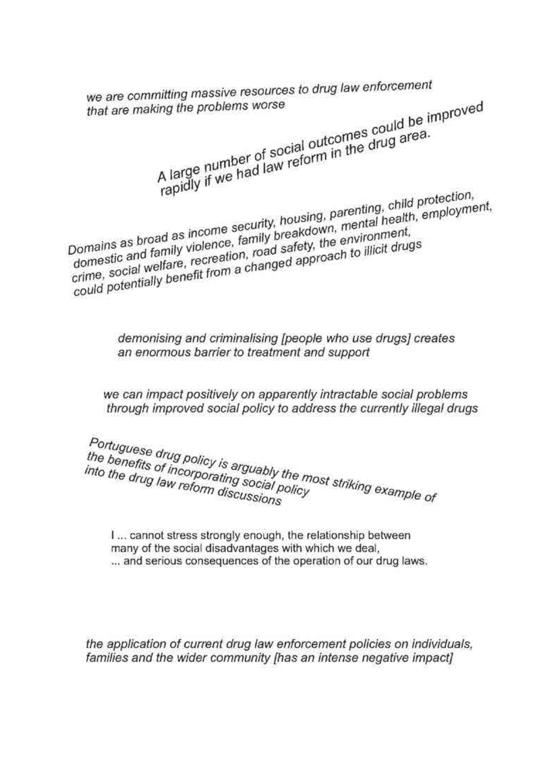we are committing massive resources to drug law enforcement A large number of social outcomes could be improved that are making the problems worse rapidly if we had law reform in the drug area. Domains as broad as income security, housing, parenting, child protection, domestic and family violence, family breakdown, mental health, employment, crime, social welfare, recreation, road safety, the environment, could potentially benefit from a changed approach to illicit drugs

> demonising and criminalising [people who use drugs] creates an enormous barrier to treatment and support

we can impact positively on apparently intractable social problems through improved social policy to address the currently illegal drugs

Portuguese drug policy is arguably the most striking example of the benefits of incorporating social policy into the drug law reform discussions

I... cannot stress strongly enough, the relationship between many of the social disadvantages with which we deal. ... and serious consequences of the operation of our drug laws.

the application of current drug law enforcement policies on individuals, families and the wider community [has an intense negative impact]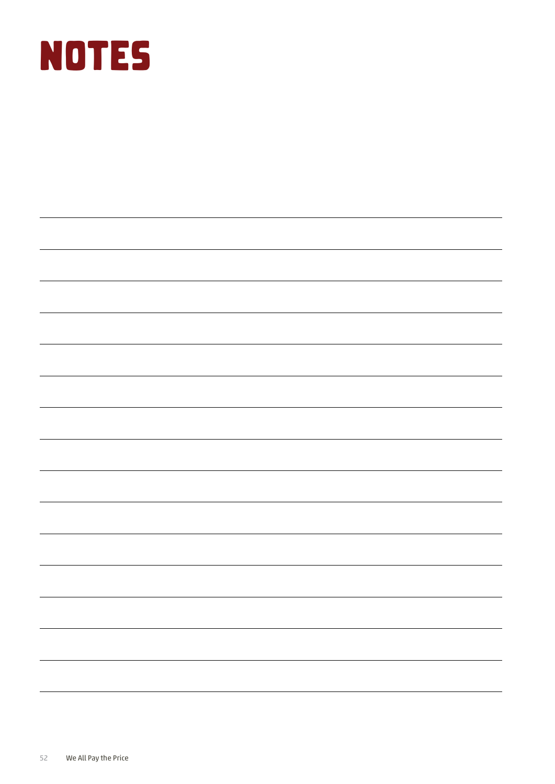